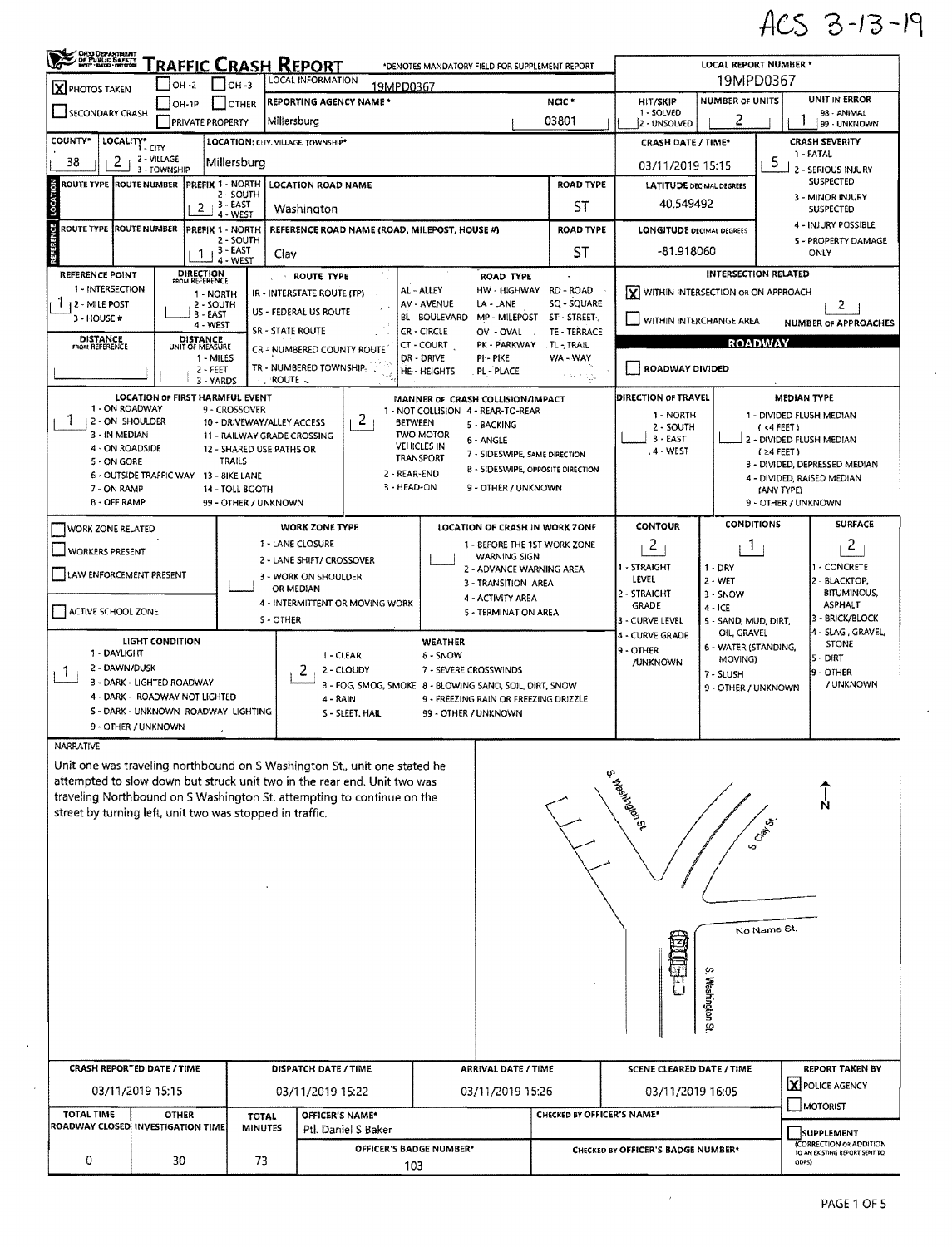## ACS 3-13-19

 $\hat{\mathcal{A}}$ 

 $\sim 10$ 

| ORO DEPARTMENT                                                                |                                        |                                           |                                   | Traffic Crash Report                      |                                                                           |                                        | *DENOTES MANDATORY FIELD FOR SUPPLEMENT REPORT                |                                    |                                                                               | <b>LOCAL REPORT NUMBER *</b>                             |                                                  |                                                          |  |  |
|-------------------------------------------------------------------------------|----------------------------------------|-------------------------------------------|-----------------------------------|-------------------------------------------|---------------------------------------------------------------------------|----------------------------------------|---------------------------------------------------------------|------------------------------------|-------------------------------------------------------------------------------|----------------------------------------------------------|--------------------------------------------------|----------------------------------------------------------|--|--|
| LOCAL INFORMATION<br>OH -2<br>$ OH - 3$<br>19MPD0367<br><b>X</b> PHOTOS TAKEN |                                        |                                           |                                   |                                           |                                                                           |                                        |                                                               |                                    | 19MPD0367                                                                     |                                                          |                                                  |                                                          |  |  |
| SECONDARY CRASH                                                               |                                        | OH-1P                                     | <b>OTHER</b>                      |                                           | REPORTING AGENCY NAME *                                                   |                                        |                                                               | NCIC <sup>+</sup>                  | HIT/SKIP<br>1 - SOLVED                                                        | NUMBER OF UNITS                                          | <b>UNIT IN ERROR</b><br>98 - ANIMAL              |                                                          |  |  |
|                                                                               |                                        | <b>PRIVATE PROPERTY</b>                   |                                   | Millersburg                               |                                                                           |                                        |                                                               | 03801                              | 2 - UNSOLVED                                                                  | 99 - UNKNOWN                                             |                                                  |                                                          |  |  |
| COUNTY <sup>®</sup>                                                           | LOCALITY* CITY<br>2 - VILLAGE          |                                           |                                   | <b>LOCATION: CITY, VILLAGE, TOWNSHIP*</b> |                                                                           |                                        |                                                               |                                    | <b>CRASH SEVERITY</b><br><b>CRASH DATE / TIME*</b><br>1 - FATAL               |                                                          |                                                  |                                                          |  |  |
| 2<br>38                                                                       | 3 - TOWNSHIP                           |                                           | Millersburg                       |                                           |                                                                           |                                        |                                                               |                                    | 03/11/2019 15:15                                                              |                                                          | 5                                                | 2 - SERIOUS INJURY                                       |  |  |
| ROUTE TYPE  ROUTE NUMBER<br>LOCATI                                            |                                        | <b>PREFIX 1 - NORTH</b><br>$2 + 3 - EAST$ | 2 - SOUTH                         | Washington                                | <b>LOCATION ROAD NAME</b>                                                 |                                        |                                                               | <b>ROAD TYPE</b><br>ST             | <b>LATITUDE DECIMAL DEGREES</b><br>40.549492                                  | <b>SUSPECTED</b><br>3 - MINOR INJURY<br><b>SUSPECTED</b> |                                                  |                                                          |  |  |
| <b>ROUTE TYPE IROUTE NUMBER</b>                                               |                                        | PREFIX 1 - NORTH                          | 4 - WEST                          |                                           |                                                                           |                                        |                                                               | <b>ROAD TYPE</b>                   |                                                                               |                                                          |                                                  | 4 - INJURY POSSIBLE                                      |  |  |
| ¥                                                                             |                                        | 1                                         | 2 - SOUTH<br>3 - EAST<br>4 - WEST | Clay                                      | REFERENCE ROAD NAME (ROAD, MILEPOST, HOUSE #)                             |                                        |                                                               | ST                                 | <b>LONGITUDE DECIMAL DEGREES</b><br>5 - PROPERTY DAMAGE<br>-81.918060<br>ONLY |                                                          |                                                  |                                                          |  |  |
| <b>REFERENCE POINT</b>                                                        |                                        | DIRECTION<br>FROM REFERENCE               |                                   |                                           | ROUTE TYPE                                                                |                                        | <b>ROAD TYPE</b>                                              |                                    |                                                                               | <b>INTERSECTION RELATED</b>                              |                                                  |                                                          |  |  |
| 1 - INTERSECTION                                                              |                                        | 1 - NORTH                                 |                                   |                                           | IR - INTERSTATE ROUTE (TP)                                                | AL - ALLEY                             | HW - HIGHWAY                                                  | RD - ROAD                          | lx١                                                                           | WITHIN INTERSECTION OR ON APPROACH                       |                                                  |                                                          |  |  |
| $1 + 2 -$ Mile post                                                           |                                        | 2 - SOUTH<br>3 - EAST                     |                                   | US - FEDERAL US ROUTE                     |                                                                           | AV - AVENUE                            | LA-LANE                                                       | SQ - SQUARE                        |                                                                               |                                                          |                                                  | 2                                                        |  |  |
| $3 - HOUSE$ #                                                                 |                                        | 4 - WEST                                  |                                   | <b>SR - STATE ROUTE</b>                   |                                                                           | BL - BOULEVARD<br><b>CR - CIRCLE</b>   | MP - MILEPOST<br>OV - OVAL                                    | ST - STREET.<br>TE - TERRACE       | WITHIN INTERCHANGE AREA                                                       |                                                          |                                                  | <b>NUMBER OF APPROACHES</b>                              |  |  |
| <b>DISTANCE</b><br>FROM REFERENCE                                             |                                        | DISTANCE<br>UNIT OF MEASURE               |                                   |                                           | CR - NUMBERED COUNTY ROUTE                                                | CT - COURT                             | PK - PARKWAY                                                  | TL-TRAIL                           |                                                                               | <b>ROADWAY</b>                                           |                                                  |                                                          |  |  |
|                                                                               |                                        | 1 - MILES<br>$2 - FEET$                   |                                   |                                           | TR - NUMBERED TOWNSHIP                                                    | DR - DRIVE<br><b>HE-HEIGHTS</b>        | PI-PIKE<br>PL - PLACE                                         | WA - WAY                           | ROADWAY DIVIDED                                                               |                                                          |                                                  |                                                          |  |  |
|                                                                               |                                        | 3 - YARDS                                 |                                   | ROUTE -                                   |                                                                           |                                        |                                                               | 가 있다.                              |                                                                               |                                                          |                                                  |                                                          |  |  |
|                                                                               | <b>LOCATION OF FIRST HARMFUL EVENT</b> |                                           |                                   |                                           |                                                                           |                                        | MANNER OF CRASH COLLISION/IMPACT                              |                                    | <b>DIRECTION OF TRAVEL</b>                                                    |                                                          | <b>MEDIAN TYPE</b>                               |                                                          |  |  |
| 1 - ON ROADWAY<br>Т.<br>12 - ON SHOULDER                                      |                                        |                                           | 9 - CROSSOVER                     | 10 - DRIVEWAY/ALLEY ACCESS                | 2                                                                         | <b>BETWEEN</b>                         | 1 - NOT COLLISION 4 - REAR-TO-REAR<br>5 - BACKING             |                                    | 1 - NORTH                                                                     |                                                          |                                                  | 1 - DIVIDED FLUSH MEDIAN                                 |  |  |
| 3 - IN MEDIAN                                                                 |                                        |                                           |                                   | 11 - RAILWAY GRADE CROSSING               |                                                                           | TWO MOTOR                              | 6 - ANGLE                                                     |                                    | 2 - SOUTH<br>$3 - EAST$                                                       |                                                          | (4 FEET)<br>2 - DIVIDED FLUSH MEDIAN             |                                                          |  |  |
| 4 - ON ROADSIDE                                                               |                                        |                                           |                                   | 12 - SHARED USE PATHS OR                  |                                                                           | <b>VEHICLES IN</b><br><b>TRANSPORT</b> | 7 - SIDESWIPE, SAME DIRECTION                                 |                                    | .4 - WEST                                                                     |                                                          | $(24$ FEET)<br>3 - DIVIDED, DEPRESSED MEDIAN     |                                                          |  |  |
| 5 - ON GORE                                                                   | 6 - OUTSIDE TRAFFIC WAY 13 - BIKE LANE |                                           | TRAILS                            |                                           |                                                                           | 2 - REAR-END                           | <b>B - SIDESWIPE, OPPOSITE DIRECTION</b>                      |                                    |                                                                               |                                                          |                                                  |                                                          |  |  |
| 7 - ON RAMP                                                                   |                                        |                                           | 14 - TOLL BOOTH                   |                                           |                                                                           | 3 - HEAD-ON                            | 9 - OTHER / UNKNOWN                                           |                                    |                                                                               |                                                          | 4 - DIVIDED, RAISED MEDIAN<br>(ANY TYPE)         |                                                          |  |  |
| <b>B - OFF RAMP</b>                                                           |                                        |                                           | 99 - OTHER / UNKNOWN              |                                           |                                                                           |                                        |                                                               |                                    |                                                                               |                                                          | 9 - OTHER / UNKNOWN                              |                                                          |  |  |
| <b>WORK ZONE RELATED</b>                                                      |                                        |                                           |                                   |                                           | <b>WORK ZONE TYPE</b>                                                     |                                        | LOCATION OF CRASH IN WORK ZONE                                |                                    | <b>CONTOUR</b>                                                                | <b>CONDITIONS</b>                                        |                                                  | <b>SURFACE</b>                                           |  |  |
| <b>WORKERS PRESENT</b>                                                        |                                        |                                           |                                   | 1 - LANE CLOSURE                          |                                                                           |                                        | 1 - BEFORE THE 1ST WORK ZONE                                  |                                    | $\mathbf{2}$                                                                  | $\mathbf{1}$                                             |                                                  | $\overline{c}$                                           |  |  |
|                                                                               |                                        |                                           |                                   |                                           | 2 - LANE SHIFT/ CROSSOVER                                                 |                                        | <b>WARNING SIGN</b><br>2 - ADVANCE WARNING AREA               |                                    | 1 - STRAIGHT                                                                  | $1 - DRY$                                                |                                                  | <b>- CONCRETE</b>                                        |  |  |
| LAW ENFORCEMENT PRESENT                                                       |                                        |                                           |                                   |                                           | 3 - WORK ON SHOULDER                                                      |                                        | 3 - TRANSITION AREA                                           |                                    | LEVEL                                                                         | 2 - WET                                                  |                                                  | 2 - BLACKTOP,                                            |  |  |
|                                                                               |                                        |                                           |                                   | OR MEDIAN                                 | 4 - INTERMITTENT OR MOVING WORK                                           |                                        | 4 - ACTIVITY AREA                                             |                                    | 2 - STRAIGHT                                                                  | 3 - SNOW                                                 |                                                  | <b>BITUMINOUS,</b><br><b>ASPHALT</b>                     |  |  |
| ACTIVE SCHOOL ZONE                                                            |                                        |                                           |                                   | S - OTHER                                 |                                                                           |                                        | 5 - TERMINATION AREA                                          |                                    | GRADE<br>3 - CURVE LEVEL                                                      | $4 - ICE$<br>5 - SAND, MUD, DIRT,                        |                                                  | - BRICK/BLOCK                                            |  |  |
|                                                                               | LIGHT CONDITION                        |                                           |                                   |                                           |                                                                           | <b>WEATHER</b>                         |                                                               |                                    | 4 - CURVE GRADE                                                               | OIL, GRAVEL                                              |                                                  | 4 - SLAG , GRAVEL,                                       |  |  |
| 1 - DAYLIGHT                                                                  |                                        |                                           |                                   |                                           | 1 - CLEAR                                                                 | 6 - SNOW                               |                                                               |                                    | l9 - OTHER                                                                    | 6 - WATER (STANDING,<br>MOVING)                          |                                                  | <b>STONE</b><br>5 - DIRT                                 |  |  |
| 2 - DAWN/DUSK<br><b>1</b>                                                     |                                        |                                           |                                   | 2                                         | 2 - CLOUDY                                                                |                                        | 7 - SEVERE CROSSWINDS                                         |                                    | <b>/UNKNOWN</b>                                                               | 7 - SLUSH                                                |                                                  | 9 - OTHER                                                |  |  |
| 3 - DARK - LIGHTED ROADWAY                                                    |                                        |                                           |                                   |                                           |                                                                           |                                        | 3 - FOG, SMOG, SMOKE 8 - BLOWING SAND, SOIL, DIRT, SNOW       |                                    |                                                                               | 9 - OTHER / UNKNOWN                                      |                                                  | / UNKNOWN                                                |  |  |
| 4 - DARK - ROADWAY NOT LIGHTED<br>5 - DARK - UNKNOWN ROADWAY LIGHTING         |                                        |                                           |                                   |                                           | $4 - RAIN$<br>S - SLEET, HAIL                                             |                                        | 9 - FREEZING RAIN OR FREEZING DRIZZLE<br>99 - OTHER / UNKNOWN |                                    |                                                                               |                                                          |                                                  |                                                          |  |  |
| 9 - OTHER / UNKNOWN                                                           |                                        |                                           |                                   |                                           |                                                                           |                                        |                                                               |                                    |                                                                               |                                                          |                                                  |                                                          |  |  |
| <b>NARRATIVE</b>                                                              |                                        |                                           |                                   |                                           |                                                                           |                                        |                                                               |                                    |                                                                               |                                                          |                                                  |                                                          |  |  |
|                                                                               |                                        |                                           |                                   |                                           | Unit one was traveling northbound on S Washington St., unit one stated he |                                        |                                                               |                                    |                                                                               |                                                          |                                                  |                                                          |  |  |
|                                                                               |                                        |                                           |                                   |                                           | attempted to slow down but struck unit two in the rear end. Unit two was  |                                        |                                                               |                                    |                                                                               |                                                          |                                                  |                                                          |  |  |
|                                                                               |                                        |                                           |                                   |                                           | traveling Northbound on S Washington St. attempting to continue on the    |                                        |                                                               |                                    | Findering of                                                                  |                                                          |                                                  |                                                          |  |  |
| street by turning left, unit two was stopped in traffic.                      |                                        |                                           |                                   |                                           |                                                                           |                                        |                                                               |                                    |                                                                               |                                                          | জ                                                |                                                          |  |  |
|                                                                               |                                        |                                           |                                   |                                           |                                                                           |                                        |                                                               |                                    |                                                                               | <b>O</b> CAN                                             |                                                  |                                                          |  |  |
|                                                                               |                                        |                                           |                                   |                                           |                                                                           |                                        |                                                               |                                    |                                                                               |                                                          |                                                  |                                                          |  |  |
|                                                                               |                                        |                                           |                                   |                                           |                                                                           |                                        |                                                               |                                    |                                                                               |                                                          |                                                  |                                                          |  |  |
|                                                                               |                                        |                                           |                                   |                                           |                                                                           |                                        |                                                               |                                    |                                                                               |                                                          |                                                  |                                                          |  |  |
|                                                                               |                                        |                                           |                                   |                                           |                                                                           |                                        |                                                               |                                    |                                                                               |                                                          |                                                  |                                                          |  |  |
|                                                                               |                                        |                                           |                                   |                                           |                                                                           |                                        |                                                               |                                    |                                                                               |                                                          | No Name St.                                      |                                                          |  |  |
|                                                                               |                                        |                                           |                                   |                                           |                                                                           |                                        |                                                               |                                    |                                                                               |                                                          |                                                  |                                                          |  |  |
|                                                                               |                                        |                                           |                                   |                                           |                                                                           |                                        |                                                               |                                    |                                                                               |                                                          |                                                  |                                                          |  |  |
|                                                                               |                                        |                                           |                                   |                                           |                                                                           |                                        |                                                               |                                    |                                                                               |                                                          |                                                  |                                                          |  |  |
|                                                                               |                                        |                                           |                                   |                                           |                                                                           |                                        |                                                               |                                    |                                                                               |                                                          |                                                  |                                                          |  |  |
|                                                                               |                                        |                                           |                                   |                                           |                                                                           |                                        |                                                               |                                    |                                                                               | S. Washington St                                         |                                                  |                                                          |  |  |
|                                                                               |                                        |                                           |                                   |                                           |                                                                           |                                        |                                                               |                                    |                                                                               |                                                          |                                                  |                                                          |  |  |
|                                                                               |                                        |                                           |                                   |                                           |                                                                           |                                        |                                                               |                                    |                                                                               |                                                          |                                                  |                                                          |  |  |
| <b>CRASH REPORTED DATE / TIME</b>                                             |                                        |                                           |                                   |                                           | DISPATCH DATE / TIME                                                      |                                        | ARRIVAL DATE / TIME                                           |                                    | SCENE CLEARED DATE / TIME                                                     |                                                          | <b>REPORT TAKEN BY</b><br><b>X</b> POLICE AGENCY |                                                          |  |  |
|                                                                               | 03/11/2019 15:15                       |                                           |                                   |                                           | 03/11/2019 15:22                                                          |                                        | 03/11/2019 15:26                                              |                                    | 03/11/2019 16:05                                                              |                                                          |                                                  |                                                          |  |  |
| TOTAL TIME                                                                    | <b>OTHER</b>                           |                                           | <b>TOTAL</b>                      |                                           | OFFICER'S NAME*                                                           |                                        |                                                               | CHECKED BY OFFICER'S NAME*         |                                                                               |                                                          |                                                  | MOTORIST                                                 |  |  |
| ROADWAY CLOSED INVESTIGATION TIME                                             |                                        |                                           | <b>MINUTES</b>                    |                                           | Ptl. Daniel S Baker                                                       |                                        |                                                               |                                    |                                                                               |                                                          |                                                  | SUPPLEMENT                                               |  |  |
|                                                                               |                                        |                                           |                                   |                                           |                                                                           | OFFICER'S BADGE NUMBER*                |                                                               | CHECKED BY OFFICER'S BADGE NUMBER* |                                                                               |                                                          |                                                  | (CORRECTION OR ADDITION<br>TO AN EXISTING REPORT SENT TO |  |  |
| 0                                                                             | 30                                     |                                           | 73                                |                                           |                                                                           | 103                                    |                                                               |                                    | ODPS)                                                                         |                                                          |                                                  |                                                          |  |  |

 $\sim$ 

 $\bar{\epsilon}$ 

 $\epsilon$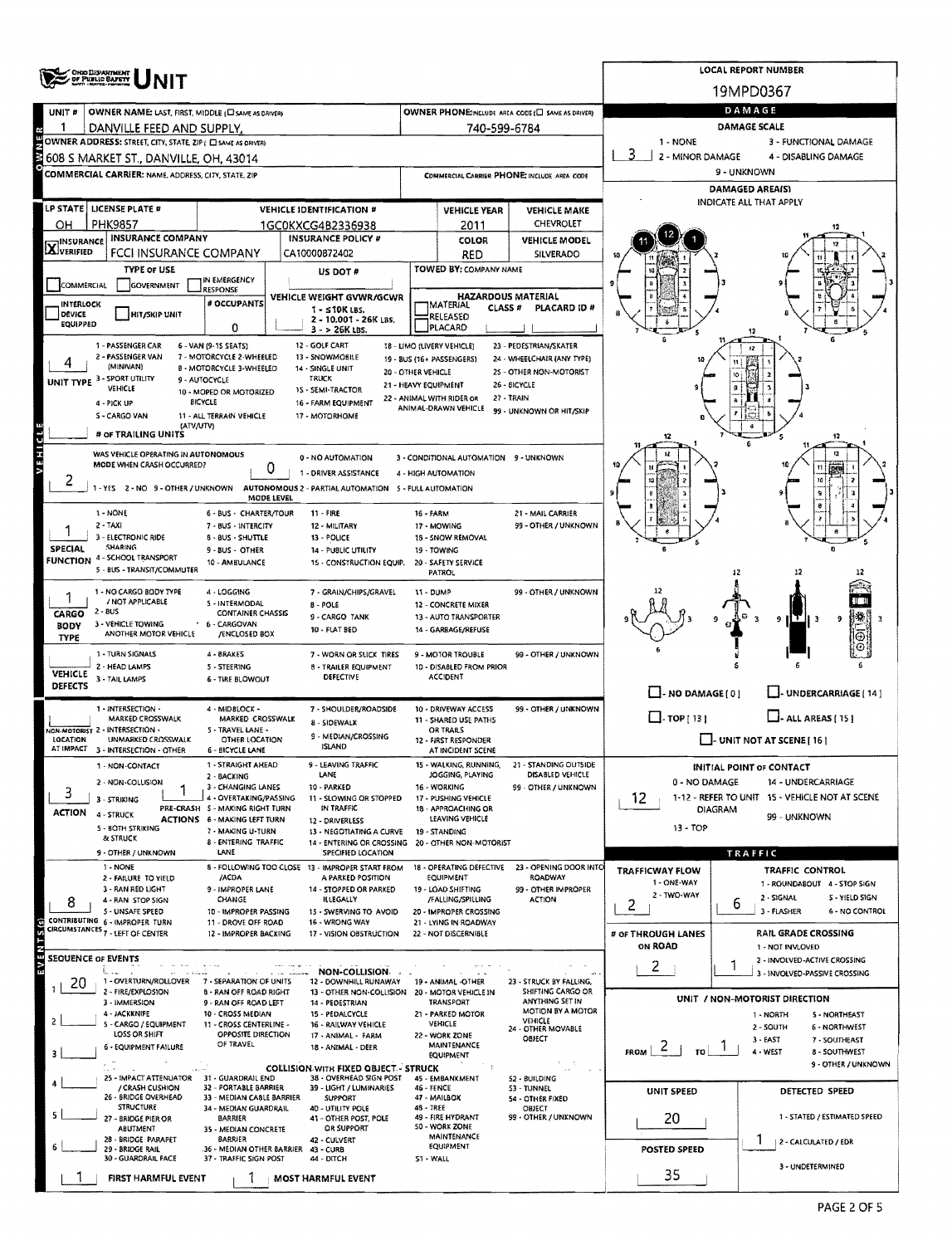|                     | ONG DEPARTMENT<br>OF PUBLIC BAPETY                                                                  |                                                                        |            |                                                                        |                      |                                                         |                                                            |                              |             | LOCAL REPORT NUMBER                                               |
|---------------------|-----------------------------------------------------------------------------------------------------|------------------------------------------------------------------------|------------|------------------------------------------------------------------------|----------------------|---------------------------------------------------------|------------------------------------------------------------|------------------------------|-------------|-------------------------------------------------------------------|
|                     |                                                                                                     |                                                                        |            |                                                                        |                      |                                                         |                                                            |                              |             | 19MPD0367                                                         |
| UNIT <sub>#</sub>   | OWNER NAME: LAST, FIRST, MIDDLE (E) SAME AS DRIVER)                                                 |                                                                        |            |                                                                        |                      |                                                         | OWNER PHONE: INCLUDE AREA CODE (E) SAME AS DRIVERY         |                              |             | DAMAGE                                                            |
|                     | DANVILLE FEED AND SUPPLY.                                                                           |                                                                        |            |                                                                        |                      | 740-599-6784                                            |                                                            |                              |             | <b>DAMAGE SCALE</b>                                               |
|                     | OWNER ADDRESS: STREET, CITY, STATE, ZIP ( C SAME AS DRIVER)                                         |                                                                        |            |                                                                        |                      |                                                         |                                                            | 1 - NONE<br>2 - MINOR DAMAGE |             | 3 - FUNCTIONAL DAMAGE<br>4 - DISABLING DAMAGE                     |
|                     | 608 S MARKET ST., DANVILLE, OH, 43014<br><b>COMMERCIAL CARRIER: NAME, ADDRESS, CITY, STATE, ZIP</b> |                                                                        |            |                                                                        |                      |                                                         | COMMERCIAL CARRIER PHONE: INCLUDE AREA CODE                |                              | 9 - UNKNOWN |                                                                   |
|                     |                                                                                                     |                                                                        |            |                                                                        |                      |                                                         |                                                            |                              |             | DAMAGED AREA(S)                                                   |
|                     | <b>LP STATE   LICENSE PLATE #</b>                                                                   |                                                                        |            | VEHICLE IDENTIFICATION #                                               |                      | <b>VEHICLE YEAR</b>                                     | <b>VEHICLE MAKE</b>                                        |                              |             | INDICATE ALL THAT APPLY                                           |
| ОН                  | <b>PHK9857</b>                                                                                      |                                                                        |            | 1GC0KXCG4B2336938                                                      |                      | 2011                                                    | CHEVROLET                                                  |                              |             |                                                                   |
| <b>X</b> INSURANCE  | <b>INSURANCE COMPANY</b>                                                                            |                                                                        |            | <b>INSURANCE POLICY #</b>                                              |                      | <b>COLOR</b>                                            | <b>VEHICLE MODEL</b>                                       |                              |             |                                                                   |
|                     | FCCI INSURANCE COMPANY                                                                              |                                                                        |            | CA10000872402                                                          |                      | RED                                                     | <b>SILVERADO</b>                                           |                              |             |                                                                   |
| COMMERCIAL          | <b>TYPE OF USE</b><br><b>GOVERNMENT</b>                                                             | IN EMERGENCY                                                           |            | US DOT #                                                               |                      | TOWED BY: COMPANY NAME                                  |                                                            | 9                            |             |                                                                   |
| <b>INTERLOCK</b>    |                                                                                                     | <b>RESPONSE</b><br># OCCUPANTS                                         |            | VEHICLE WEIGHT GVWR/GCWR                                               |                      | <b>HAZARDOUS MATERIAL</b><br><b>IMATERIAL</b>           |                                                            |                              |             |                                                                   |
| DEVICE<br>EQUIPPED  | HIT/SKIP UNIT                                                                                       |                                                                        |            | $1 - 510K$ LBS.<br>2 - 10.001 - 26K LBS.                               |                      | CLASS #<br>RELEASED                                     | PLACARD ID #                                               |                              |             |                                                                   |
|                     |                                                                                                     | 0                                                                      |            | $3 - 26K$ LBS.                                                         |                      | PLACARD                                                 |                                                            |                              |             |                                                                   |
|                     | 1 - PASSENGER CAR<br>2 - PASSENGER VAN                                                              | 6 - VAN (9-15 SEATS)<br>7 - MOTORCYCLE 2-WHEELED                       |            | 12 - GOLF CART<br>13 - SNOWMOBILE                                      |                      | 18 - LIMO (LIVERY VEHICLE)<br>19 - 8US (16+ PASSENGERS) | 23 - PEDESTRIAN/SKATER<br>24 - WHEELCHAIR (ANY TYPE)       |                              |             |                                                                   |
|                     | (MINIVAN)<br><b>SPORT UTILITY</b>                                                                   | <b>B - MOTORCYCLE 3-WHEELED</b><br>9 - AUTOCYCLE                       |            | 14 - SINGLE UNIT<br>TRUCK                                              | 20 - OTHER VEHICLE   |                                                         | 25 - OTHER NON-MOTORIST                                    |                              |             |                                                                   |
| UNIT TYPE 3         | VEHICLE                                                                                             | 10 - MOPED OR MOTORIZED                                                |            | 15 - SEMI-TRACTOR                                                      | 21 - HEAVY EQUIPMENT | 22 - ANIMAL WITH RIDER OR                               | 26 - BICYCLE<br>27 - TRAIN                                 |                              |             |                                                                   |
|                     | 4 - PICK UP<br>S - CARGO VAN                                                                        | <b>BICYCLE</b><br>11 - ALL TERRAIN VEHICLE                             |            | 16 - FARM EQUIPMENT<br>17 - MOTORHOME                                  |                      | ANIMAL-DRAWN VEHICLE                                    | 99 - UNKNOWN OR HIT/SKIP                                   |                              |             |                                                                   |
|                     | (ATV/UTV)<br># or TRAILING UNITS                                                                    |                                                                        |            |                                                                        |                      |                                                         |                                                            |                              |             |                                                                   |
|                     |                                                                                                     |                                                                        |            |                                                                        |                      |                                                         |                                                            |                              |             | 12<br>12                                                          |
|                     | WAS VEHICLE OPERATING IN AUTONOMOUS<br>MODE WHEN CRASH OCCURRED?                                    |                                                                        | 0          | 0 - NO AUTOMATION                                                      |                      | 3 - CONDITIONAL AUTOMATION 9 - UNKNOWN                  |                                                            |                              |             | 11                                                                |
| 2                   | 1 - YES 2 - NO 9 - OTHER / UNKNOWN AUTONOMOUS 2 - PARTIAL AUTOMATION 5 - FULL AUTOMATION            |                                                                        |            | 1 - DRIVER ASSISTANCE                                                  |                      | 4 - HIGH AUTOMATION                                     |                                                            |                              |             | 10                                                                |
|                     |                                                                                                     |                                                                        | MODE LEVEL |                                                                        |                      |                                                         |                                                            |                              |             |                                                                   |
|                     | 1 - NONE<br>$2 - TAXI$                                                                              | 6 - BUS - CHARTER/TOUR<br>7 - BUS - INTERCITY                          |            | 11 - FIRE<br>12 - MILITARY                                             | <b>16 - FARM</b>     | 17 - MOWING                                             | 21 - MAIL CARRIER<br>99 - OTHER / UNKNOWN                  |                              |             |                                                                   |
|                     | 3 - ELECTRONIC RIDE                                                                                 | 8 - 8US - SHUTTLE                                                      |            | 13 - POLICE                                                            |                      | 18 - SNOW REMOVAL                                       |                                                            |                              |             |                                                                   |
| <b>SPECIAL</b>      | SHARING<br>FUNCTION 4 - SCHOOL TRANSPORT                                                            | 9 - 8US - OTHER<br>10 - AMBULANCE                                      |            | <b>14 - PUBLIC UTILITY</b><br>15 - CONSTRUCTION EQUIP.                 |                      | 19 - TOWING<br>20 - SAFETY SERVICE                      |                                                            |                              |             |                                                                   |
|                     | 5 - BUS - TRANSIT/COMMUTER                                                                          |                                                                        |            |                                                                        |                      | PATROL                                                  |                                                            |                              |             |                                                                   |
|                     | 1 - NO CARGO BODY TYPE<br>/ NOT APPLICABLE                                                          | 4 - LOGGING                                                            |            | 7 - GRAIN/CHIPS/GRAVEL                                                 | 11 - DUMP            |                                                         | 99 - OTHER / UNKNOWN                                       |                              |             |                                                                   |
| <b>CARGO</b>        | $2 - 8US$                                                                                           | 5 - INTERMODAL<br><b>CONTAINER CHASSIS</b>                             |            | <b>B-POLE</b><br>9 - CARGO TANK                                        |                      | 12 - CONCRETE MIXER<br>13 - AUTO TRANSPORTER            |                                                            |                              |             | 14<br>9<br>9<br>uv.                                               |
| BODY<br><b>TYPE</b> | 3 - VEHICLE TOWING<br>ANOTHER MOTOR VEHICLE                                                         | 6 - CARGOVAN<br>/ENCLOSED BOX                                          |            | 10 - FLAT BED                                                          |                      | 14 - GARBAGE/REFUSE                                     |                                                            |                              |             | ⊛                                                                 |
|                     | 1 - TURN SIGNALS                                                                                    | 4 - BRAKES                                                             |            | 7 - WORN OR SLICK TIRES                                                |                      | 9 - MOTOR TROUBLE                                       | 99 - OTHER / UNKNOWN                                       |                              |             |                                                                   |
| VEHICLE             | 2 - HEAD LAMPS                                                                                      | 5 - STEERING                                                           |            | 8 - TRAILER EQUIPMENT                                                  |                      | 10 - DISABLED FROM PRIOR                                |                                                            |                              |             |                                                                   |
| <b>DEFECTS</b>      | 3 - TAIL LAMPS                                                                                      | <b>6 - TIRE BLOWOUT</b>                                                |            | DEFECTIVE                                                              |                      | <b>ACCIDENT</b>                                         |                                                            | $\Box$ - NO DAMAGE [ 0 ]     |             | J- UNDERCARRIAGE [ 14 ]                                           |
|                     | 1 - INTERSECTION -                                                                                  | 4 - MIDBLOCK -                                                         |            | 7 - SHOULDER/ROADSIDE                                                  |                      | 10 - DRIVEWAY ACCESS                                    | 99 - OTHER / UNKNOWN                                       |                              |             |                                                                   |
|                     | MARKED CROSSWALK<br><b>VON-MOTORIST 2 - INTERSECTION -</b>                                          | MARKED CROSSWALK<br>5 - TRAVEL LANE -                                  |            | 8 - SIDEWALK                                                           |                      | 11 - SHARED USE PATHS<br>OR TRAILS                      |                                                            | $\Box$ TOP [ 13 ]            |             | $\Box$ - ALL AREAS (15)                                           |
| LOCATION            | UNMARKED CROSSWALK                                                                                  | OTHER LOCATION                                                         |            | 9 - MEDIAN/CROSSING<br><b>ISLAND</b>                                   |                      | 12 - FIRST RESPONDER                                    |                                                            |                              |             | $\bigsqcup$ - UNIT NOT AT SCENE [ 16 ]                            |
|                     | AT IMPACT 3 - INTERSECTION - OTHER<br>1 - NON-CONTACT                                               | <b>6 - BICYCLE LANE</b><br>1 - STRAIGHT AHEAD                          |            | · LEAVING TRAFFIC                                                      |                      | AT INCIDENT SCENE<br>WALKING, RUNNING,                  | 21 - STANDING OUTSIDE                                      |                              |             | <b>INITIAL POINT OF CONTACT</b>                                   |
|                     | 2 - NON-COLLISION                                                                                   | 2 - BACKING                                                            |            | LANE<br>10 - PARKED                                                    |                      | JOGGING, PLAYING                                        | DISABLED VEHICLE                                           | 0 - NO DAMAGE                |             | 14 - UNDERCARRIAGE                                                |
| 3                   | 3 - STRIKING                                                                                        | 3 - CHANGING LANES<br>4 - OVERTAKING/PASSING                           |            | 11 - SLOWING OR STOPPED                                                |                      | 16 WORKING<br>17 - PUSHING VEHICLE                      | 99 - OTHER / UNKNOWN                                       | 12                           |             | 1-12 - REFER TO UNIT 15 - VEHICLE NOT AT SCENE                    |
| <b>ACTION</b>       | 4 - STRUCK                                                                                          | PRE-CRASH 5 - MAKING RIGHT TURN<br><b>ACTIONS 6 - MAKING LEFT TURN</b> |            | IN TRAFFIC<br>12 DRIVERLESS                                            |                      | 18 - APPROACHING OR<br>LEAVING VEHICLE                  |                                                            |                              | DIAGRAM     | 99 - UNKNOWN                                                      |
|                     | 5 - BOTH STRIKING<br><b>&amp; STRUCK</b>                                                            | 7 - MAKING U-TURN<br>8 - ENTERING TRAFFIC                              |            | 13 - NEGOTIATING A CURVE                                               |                      | 19 - STANDING                                           |                                                            | 13 - TOP                     |             |                                                                   |
|                     | 9 - OTHER / UNKNOWN                                                                                 | LANE                                                                   |            | 14 - ENTERING OR CROSSING<br>SPECIFIED LOCATION                        |                      | 20 - OTHER NON-MOTORIST                                 |                                                            |                              |             | <b>TRAFFIC</b>                                                    |
|                     | 1 - NONE<br>2 - FAILURE TO YIELD                                                                    | /ACDA                                                                  |            | 8 - FOLLOWING TOO CLOSE 13 - IMPROPER START FROM<br>A PARKED POSITION  |                      | EQUIPMENT                                               | 18 - OPERATING DEFECTIVE 23 - OPENING DOOR INTO<br>ROADWAY | <b>TRAFFICWAY FLOW</b>       |             | <b>TRAFFIC CONTROL</b>                                            |
|                     | 3 - RAN RED LIGHT                                                                                   | 9 - IMPROPER LANE                                                      |            | 14 - STOPPED OR PARKED                                                 |                      | 19 - LOAD SHIFTING                                      | 99 - OTHER IMPROPER                                        | 1 - ONE-WAY<br>2 - TWO-WAY   |             | 1 - ROUNDABOUT 4 - STOP SIGN<br>2 - SIGNAL<br><b>S-YIELD SIGN</b> |
| 8                   | 4 - RAN STOP SIGN<br>5 - UNSAFE SPEED                                                               | CHANGE<br>10 - IMPROPER PASSING                                        |            | <b>ILLEGALLY</b><br>15 - SWERVING TO AVOID                             |                      | /FALLING/SPILLING<br>20 - IMPROPER CROSSING             | <b>ACTION</b>                                              | $\overline{2}$               | 6           | 3 - FLASHER<br>6 - NO CONTROL                                     |
|                     | CONTRIBUTING 6 - IMPROPER TURN<br>CIRCUMSTANCES 7 - LEFT OF CENTER                                  | 11 - DROVE OFF ROAD<br>12 - IMPROPER BACKING                           |            | 16 - WRONG WAY<br>17 - VISION OBSTRUCTION                              |                      | 21 - LYING IN ROADWAY<br>22 - NOT DISCERNIBLE           |                                                            | # OF THROUGH LANES           |             | RAIL GRADE CROSSING                                               |
| É                   |                                                                                                     |                                                                        |            |                                                                        |                      |                                                         |                                                            | ON ROAD                      |             | 1 - NOT INVLOVED                                                  |
| ΣÂ                  | <b>SEQUENCE OF EVENTS</b><br>t.                                                                     |                                                                        |            | NON-COLLISION.                                                         |                      |                                                         |                                                            | 2                            | 1           | 2 - INVOLVED-ACTIVE CROSSING                                      |
| 20                  | 1 - OVERTURN/ROLLOVER                                                                               | 7 - SEPARATION OF UNITS                                                |            | 12 - DOWNHILL RUNAWAY                                                  |                      | 19 - ANIMAL -OTHER                                      | 23 - STRUCK BY FALLING,                                    |                              |             | 3 - INVOLVED-PASSIVE CROSSING                                     |
|                     | 2 - FIRE/EXPLOSION<br>3 - IMMERSION                                                                 | <b>8 - RAN OFF ROAD RIGHT</b><br>9 - RAN OFF ROAD LEFT                 |            | 13 - OTHER NON-COLLISION 20 - MOTOR VEHICLE IN<br>14 - PEDESTRIAN      |                      | <b>TRANSPORT</b>                                        | <b>SHIFTING CARGO OR</b><br>ANYTHING SET IN                |                              |             | UNIT / NON-MOTORIST DIRECTION                                     |
|                     | 4 - JACKKNIFE<br>S - CARGO / EQUIPMENT                                                              | 10 - CROSS MEDIAN<br>11 - CROSS CENTERLINE -                           |            | 15 - PEDALCYCLE<br>16 - RAILWAY VEHICLE                                |                      | 21 - PARKED MOTOR<br>VEHICLE                            | MOTION BY A MOTOR<br><b>VEHICLE</b>                        |                              |             | 1 - NORTH<br>5 - NORTHEAST<br>2 - SOUTH<br><b>6 - NORTHWEST</b>   |
|                     | LOSS OR SHIFT                                                                                       | OPPOSITE DIRECTION<br>OF TRAVEL                                        |            | 17 - ANIMAL - FARM                                                     |                      | 22 - WORK ZONE<br>MAINTENANCE                           | 24 - OTHER MOVABLE<br>OBJECT                               |                              |             | $3 - EAST$<br>7 - SOUTHEAST                                       |
|                     | 6 - EQUIPMENT FAILURE                                                                               |                                                                        |            | 18 - ANIMAL - DEER                                                     |                      | EQUIPMENT                                               |                                                            | $\sim$<br>TO I               |             | 4 - WEST<br><b>8 - SOUTHWEST</b><br>9 - OTHER / UNKNOWN           |
|                     | 25 - IMPACT ATTENUATOR                                                                              | 31 - GUARDRAIL END                                                     |            | <b>COLLISION WITH FIXED OBJECT - STRUCK</b><br>38 - OVERHEAD SIGN POST |                      | 45 - EMBANKMENT                                         | 52 - BUILDING                                              |                              |             |                                                                   |
|                     | / CRASH CUSHION<br>26 - BRIDGE OVERHEAD                                                             | 32 - PORTABLE BARRIER<br>33 - MEDIAN CA8LE BARRIER                     |            | 39 - LIGHT / LUMINARIES<br><b>SUPPORT</b>                              | 46 - FENCE           | 47 - MAILBOX                                            | 53 - TUNNEL<br>54 - OTHER FIXED                            | UNIT SPEED                   |             | DETECTED SPEED                                                    |
|                     | <b>STRUCTURE</b><br>- BRIDGE PIER OR                                                                | 34 - MEDIAN GUARDRAIL<br>BARRIER                                       |            | 40 - UTILITY POLE<br>41 - OTHER POST, POLE                             | 48 - TREE            | 49 - FIRE HYDRANT                                       | OBJECT<br>99 - OTHER / UNKNOWN                             | 20                           |             | 1 - STATED / ESTIMATED SPEED                                      |
|                     | ABUTMENT                                                                                            | 35 - MEDIAN CONCRETE                                                   |            | OR SUPPORT                                                             |                      | <b>SO - WORK ZONE</b><br>MAINTENANCE                    |                                                            |                              |             |                                                                   |
|                     | 28 - BRIDGE PARAPET<br>29 - BRIDGE RAIL                                                             | <b>BARRIER</b><br>36 - MEDIAN OTHER BARRIER 43 - CURB                  |            | 42 - CULVERT                                                           |                      | EQUIPMENT                                               |                                                            | POSTED SPEED                 |             | Ŧ<br>2 - CALCULATED / EDR                                         |
|                     | 30 - GUARDRAIL FACE                                                                                 | 37 - TRAFFIC SIGN POST                                                 |            | 44 - DITCH                                                             | S1 - WALL            |                                                         |                                                            |                              |             | 3 - UNDETERMINED                                                  |
|                     | FIRST HARMFUL EVENT                                                                                 |                                                                        |            | <b>MOST HARMFUL EVENT</b>                                              |                      |                                                         |                                                            | 35                           |             |                                                                   |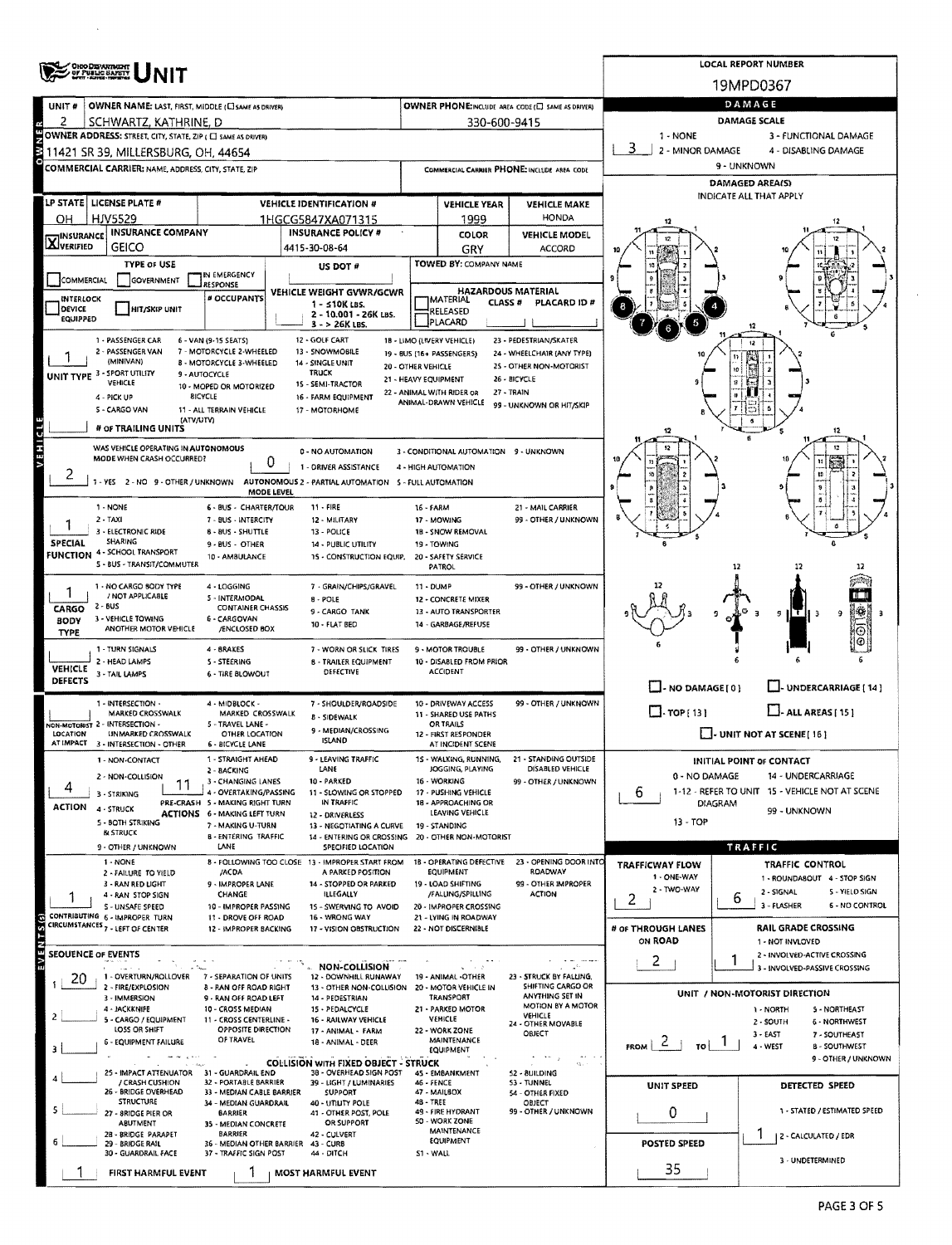|                            | <b>OHO DEPARTMENT</b><br>OF PUBLIC SAFETY                                                                                                                                                                                                                                                                                                                                                                                                                                                                                                                                                                                                                                                                                                                                                                                                                                                                                                                                                                                                                                                                                                                                                                                                                                                                                                                                                                                                                                                                                                                                                                                                                                                                                                                                                                                                                                                                                                                                                                                                                                                                                                                                                                                                                                                                                                                                                                                                                                                                                                                                                                                                                                                                                                                                                                                                                                                                                                                                                                                                                                                                                                                                                                                                                                                                                                                                                                                                                                                                                                                                                                                                                                                                                                                                                                                                                                                                                                                                                                                                                                                                                                                                                                                                                                                                                                                                                                                                                                                                                                                                                                                                                                                                                                                                                                                                                                                                                                                                                                                                                                                                                                                                                                                                                                                                                                                                                                                                                                                                                                                                                                                                           |                                                       |                                                    |                    |                                       |                                                                                 |                                                                                               | LOCAL REPORT NUMBER                              |  |  |  |  |  |
|----------------------------|-----------------------------------------------------------------------------------------------------------------------------------------------------------------------------------------------------------------------------------------------------------------------------------------------------------------------------------------------------------------------------------------------------------------------------------------------------------------------------------------------------------------------------------------------------------------------------------------------------------------------------------------------------------------------------------------------------------------------------------------------------------------------------------------------------------------------------------------------------------------------------------------------------------------------------------------------------------------------------------------------------------------------------------------------------------------------------------------------------------------------------------------------------------------------------------------------------------------------------------------------------------------------------------------------------------------------------------------------------------------------------------------------------------------------------------------------------------------------------------------------------------------------------------------------------------------------------------------------------------------------------------------------------------------------------------------------------------------------------------------------------------------------------------------------------------------------------------------------------------------------------------------------------------------------------------------------------------------------------------------------------------------------------------------------------------------------------------------------------------------------------------------------------------------------------------------------------------------------------------------------------------------------------------------------------------------------------------------------------------------------------------------------------------------------------------------------------------------------------------------------------------------------------------------------------------------------------------------------------------------------------------------------------------------------------------------------------------------------------------------------------------------------------------------------------------------------------------------------------------------------------------------------------------------------------------------------------------------------------------------------------------------------------------------------------------------------------------------------------------------------------------------------------------------------------------------------------------------------------------------------------------------------------------------------------------------------------------------------------------------------------------------------------------------------------------------------------------------------------------------------------------------------------------------------------------------------------------------------------------------------------------------------------------------------------------------------------------------------------------------------------------------------------------------------------------------------------------------------------------------------------------------------------------------------------------------------------------------------------------------------------------------------------------------------------------------------------------------------------------------------------------------------------------------------------------------------------------------------------------------------------------------------------------------------------------------------------------------------------------------------------------------------------------------------------------------------------------------------------------------------------------------------------------------------------------------------------------------------------------------------------------------------------------------------------------------------------------------------------------------------------------------------------------------------------------------------------------------------------------------------------------------------------------------------------------------------------------------------------------------------------------------------------------------------------------------------------------------------------------------------------------------------------------------------------------------------------------------------------------------------------------------------------------------------------------------------------------------------------------------------------------------------------------------------------------------------------------------------------------------------------------------------------------------------------------------------------------------------------------------------------------------------------|-------------------------------------------------------|----------------------------------------------------|--------------------|---------------------------------------|---------------------------------------------------------------------------------|-----------------------------------------------------------------------------------------------|--------------------------------------------------|--|--|--|--|--|
|                            |                                                                                                                                                                                                                                                                                                                                                                                                                                                                                                                                                                                                                                                                                                                                                                                                                                                                                                                                                                                                                                                                                                                                                                                                                                                                                                                                                                                                                                                                                                                                                                                                                                                                                                                                                                                                                                                                                                                                                                                                                                                                                                                                                                                                                                                                                                                                                                                                                                                                                                                                                                                                                                                                                                                                                                                                                                                                                                                                                                                                                                                                                                                                                                                                                                                                                                                                                                                                                                                                                                                                                                                                                                                                                                                                                                                                                                                                                                                                                                                                                                                                                                                                                                                                                                                                                                                                                                                                                                                                                                                                                                                                                                                                                                                                                                                                                                                                                                                                                                                                                                                                                                                                                                                                                                                                                                                                                                                                                                                                                                                                                                                                                                                     |                                                       |                                                    |                    |                                       |                                                                                 |                                                                                               | 19MPD0367                                        |  |  |  |  |  |
| UNIT #                     | OWNER NAME: LAST, FIRST, MIDDLE (C) SAME AS DRIVERY                                                                                                                                                                                                                                                                                                                                                                                                                                                                                                                                                                                                                                                                                                                                                                                                                                                                                                                                                                                                                                                                                                                                                                                                                                                                                                                                                                                                                                                                                                                                                                                                                                                                                                                                                                                                                                                                                                                                                                                                                                                                                                                                                                                                                                                                                                                                                                                                                                                                                                                                                                                                                                                                                                                                                                                                                                                                                                                                                                                                                                                                                                                                                                                                                                                                                                                                                                                                                                                                                                                                                                                                                                                                                                                                                                                                                                                                                                                                                                                                                                                                                                                                                                                                                                                                                                                                                                                                                                                                                                                                                                                                                                                                                                                                                                                                                                                                                                                                                                                                                                                                                                                                                                                                                                                                                                                                                                                                                                                                                                                                                                                                 |                                                       |                                                    |                    |                                       | OWNER PHONE:INCLUDE AREA CODE (E) SAME AS DRIVERY                               |                                                                                               | DAMAGE                                           |  |  |  |  |  |
| 2                          |                                                                                                                                                                                                                                                                                                                                                                                                                                                                                                                                                                                                                                                                                                                                                                                                                                                                                                                                                                                                                                                                                                                                                                                                                                                                                                                                                                                                                                                                                                                                                                                                                                                                                                                                                                                                                                                                                                                                                                                                                                                                                                                                                                                                                                                                                                                                                                                                                                                                                                                                                                                                                                                                                                                                                                                                                                                                                                                                                                                                                                                                                                                                                                                                                                                                                                                                                                                                                                                                                                                                                                                                                                                                                                                                                                                                                                                                                                                                                                                                                                                                                                                                                                                                                                                                                                                                                                                                                                                                                                                                                                                                                                                                                                                                                                                                                                                                                                                                                                                                                                                                                                                                                                                                                                                                                                                                                                                                                                                                                                                                                                                                                                                     |                                                       |                                                    |                    |                                       |                                                                                 |                                                                                               | DAMAGE SCALE                                     |  |  |  |  |  |
|                            |                                                                                                                                                                                                                                                                                                                                                                                                                                                                                                                                                                                                                                                                                                                                                                                                                                                                                                                                                                                                                                                                                                                                                                                                                                                                                                                                                                                                                                                                                                                                                                                                                                                                                                                                                                                                                                                                                                                                                                                                                                                                                                                                                                                                                                                                                                                                                                                                                                                                                                                                                                                                                                                                                                                                                                                                                                                                                                                                                                                                                                                                                                                                                                                                                                                                                                                                                                                                                                                                                                                                                                                                                                                                                                                                                                                                                                                                                                                                                                                                                                                                                                                                                                                                                                                                                                                                                                                                                                                                                                                                                                                                                                                                                                                                                                                                                                                                                                                                                                                                                                                                                                                                                                                                                                                                                                                                                                                                                                                                                                                                                                                                                                                     |                                                       |                                                    |                    |                                       |                                                                                 |                                                                                               |                                                  |  |  |  |  |  |
|                            |                                                                                                                                                                                                                                                                                                                                                                                                                                                                                                                                                                                                                                                                                                                                                                                                                                                                                                                                                                                                                                                                                                                                                                                                                                                                                                                                                                                                                                                                                                                                                                                                                                                                                                                                                                                                                                                                                                                                                                                                                                                                                                                                                                                                                                                                                                                                                                                                                                                                                                                                                                                                                                                                                                                                                                                                                                                                                                                                                                                                                                                                                                                                                                                                                                                                                                                                                                                                                                                                                                                                                                                                                                                                                                                                                                                                                                                                                                                                                                                                                                                                                                                                                                                                                                                                                                                                                                                                                                                                                                                                                                                                                                                                                                                                                                                                                                                                                                                                                                                                                                                                                                                                                                                                                                                                                                                                                                                                                                                                                                                                                                                                                                                     |                                                       |                                                    |                    |                                       |                                                                                 |                                                                                               |                                                  |  |  |  |  |  |
|                            |                                                                                                                                                                                                                                                                                                                                                                                                                                                                                                                                                                                                                                                                                                                                                                                                                                                                                                                                                                                                                                                                                                                                                                                                                                                                                                                                                                                                                                                                                                                                                                                                                                                                                                                                                                                                                                                                                                                                                                                                                                                                                                                                                                                                                                                                                                                                                                                                                                                                                                                                                                                                                                                                                                                                                                                                                                                                                                                                                                                                                                                                                                                                                                                                                                                                                                                                                                                                                                                                                                                                                                                                                                                                                                                                                                                                                                                                                                                                                                                                                                                                                                                                                                                                                                                                                                                                                                                                                                                                                                                                                                                                                                                                                                                                                                                                                                                                                                                                                                                                                                                                                                                                                                                                                                                                                                                                                                                                                                                                                                                                                                                                                                                     |                                                       |                                                    |                    |                                       |                                                                                 |                                                                                               |                                                  |  |  |  |  |  |
|                            |                                                                                                                                                                                                                                                                                                                                                                                                                                                                                                                                                                                                                                                                                                                                                                                                                                                                                                                                                                                                                                                                                                                                                                                                                                                                                                                                                                                                                                                                                                                                                                                                                                                                                                                                                                                                                                                                                                                                                                                                                                                                                                                                                                                                                                                                                                                                                                                                                                                                                                                                                                                                                                                                                                                                                                                                                                                                                                                                                                                                                                                                                                                                                                                                                                                                                                                                                                                                                                                                                                                                                                                                                                                                                                                                                                                                                                                                                                                                                                                                                                                                                                                                                                                                                                                                                                                                                                                                                                                                                                                                                                                                                                                                                                                                                                                                                                                                                                                                                                                                                                                                                                                                                                                                                                                                                                                                                                                                                                                                                                                                                                                                                                                     |                                                       |                                                    |                    |                                       |                                                                                 |                                                                                               |                                                  |  |  |  |  |  |
| OH                         |                                                                                                                                                                                                                                                                                                                                                                                                                                                                                                                                                                                                                                                                                                                                                                                                                                                                                                                                                                                                                                                                                                                                                                                                                                                                                                                                                                                                                                                                                                                                                                                                                                                                                                                                                                                                                                                                                                                                                                                                                                                                                                                                                                                                                                                                                                                                                                                                                                                                                                                                                                                                                                                                                                                                                                                                                                                                                                                                                                                                                                                                                                                                                                                                                                                                                                                                                                                                                                                                                                                                                                                                                                                                                                                                                                                                                                                                                                                                                                                                                                                                                                                                                                                                                                                                                                                                                                                                                                                                                                                                                                                                                                                                                                                                                                                                                                                                                                                                                                                                                                                                                                                                                                                                                                                                                                                                                                                                                                                                                                                                                                                                                                                     |                                                       |                                                    |                    |                                       | <b>HONDA</b>                                                                    |                                                                                               |                                                  |  |  |  |  |  |
|                            |                                                                                                                                                                                                                                                                                                                                                                                                                                                                                                                                                                                                                                                                                                                                                                                                                                                                                                                                                                                                                                                                                                                                                                                                                                                                                                                                                                                                                                                                                                                                                                                                                                                                                                                                                                                                                                                                                                                                                                                                                                                                                                                                                                                                                                                                                                                                                                                                                                                                                                                                                                                                                                                                                                                                                                                                                                                                                                                                                                                                                                                                                                                                                                                                                                                                                                                                                                                                                                                                                                                                                                                                                                                                                                                                                                                                                                                                                                                                                                                                                                                                                                                                                                                                                                                                                                                                                                                                                                                                                                                                                                                                                                                                                                                                                                                                                                                                                                                                                                                                                                                                                                                                                                                                                                                                                                                                                                                                                                                                                                                                                                                                                                                     |                                                       | <b>INSURANCE POLICY #</b>                          |                    | COLOR                                 | <b>VEHICLE MODEL</b>                                                            |                                                                                               |                                                  |  |  |  |  |  |
|                            | <b>GEICO</b>                                                                                                                                                                                                                                                                                                                                                                                                                                                                                                                                                                                                                                                                                                                                                                                                                                                                                                                                                                                                                                                                                                                                                                                                                                                                                                                                                                                                                                                                                                                                                                                                                                                                                                                                                                                                                                                                                                                                                                                                                                                                                                                                                                                                                                                                                                                                                                                                                                                                                                                                                                                                                                                                                                                                                                                                                                                                                                                                                                                                                                                                                                                                                                                                                                                                                                                                                                                                                                                                                                                                                                                                                                                                                                                                                                                                                                                                                                                                                                                                                                                                                                                                                                                                                                                                                                                                                                                                                                                                                                                                                                                                                                                                                                                                                                                                                                                                                                                                                                                                                                                                                                                                                                                                                                                                                                                                                                                                                                                                                                                                                                                                                                        |                                                       | 4415-30-08-64                                      |                    | GRY                                   | <b>ACCORD</b>                                                                   |                                                                                               |                                                  |  |  |  |  |  |
|                            |                                                                                                                                                                                                                                                                                                                                                                                                                                                                                                                                                                                                                                                                                                                                                                                                                                                                                                                                                                                                                                                                                                                                                                                                                                                                                                                                                                                                                                                                                                                                                                                                                                                                                                                                                                                                                                                                                                                                                                                                                                                                                                                                                                                                                                                                                                                                                                                                                                                                                                                                                                                                                                                                                                                                                                                                                                                                                                                                                                                                                                                                                                                                                                                                                                                                                                                                                                                                                                                                                                                                                                                                                                                                                                                                                                                                                                                                                                                                                                                                                                                                                                                                                                                                                                                                                                                                                                                                                                                                                                                                                                                                                                                                                                                                                                                                                                                                                                                                                                                                                                                                                                                                                                                                                                                                                                                                                                                                                                                                                                                                                                                                                                                     | IN EMERGENCY                                          | US DOT #                                           |                    |                                       |                                                                                 |                                                                                               |                                                  |  |  |  |  |  |
|                            |                                                                                                                                                                                                                                                                                                                                                                                                                                                                                                                                                                                                                                                                                                                                                                                                                                                                                                                                                                                                                                                                                                                                                                                                                                                                                                                                                                                                                                                                                                                                                                                                                                                                                                                                                                                                                                                                                                                                                                                                                                                                                                                                                                                                                                                                                                                                                                                                                                                                                                                                                                                                                                                                                                                                                                                                                                                                                                                                                                                                                                                                                                                                                                                                                                                                                                                                                                                                                                                                                                                                                                                                                                                                                                                                                                                                                                                                                                                                                                                                                                                                                                                                                                                                                                                                                                                                                                                                                                                                                                                                                                                                                                                                                                                                                                                                                                                                                                                                                                                                                                                                                                                                                                                                                                                                                                                                                                                                                                                                                                                                                                                                                                                     | <b>RESPONSE</b>                                       |                                                    | HAZARDOUS MATERIAL |                                       |                                                                                 |                                                                                               |                                                  |  |  |  |  |  |
| DEVICE                     | HIT/SKIP UNIT                                                                                                                                                                                                                                                                                                                                                                                                                                                                                                                                                                                                                                                                                                                                                                                                                                                                                                                                                                                                                                                                                                                                                                                                                                                                                                                                                                                                                                                                                                                                                                                                                                                                                                                                                                                                                                                                                                                                                                                                                                                                                                                                                                                                                                                                                                                                                                                                                                                                                                                                                                                                                                                                                                                                                                                                                                                                                                                                                                                                                                                                                                                                                                                                                                                                                                                                                                                                                                                                                                                                                                                                                                                                                                                                                                                                                                                                                                                                                                                                                                                                                                                                                                                                                                                                                                                                                                                                                                                                                                                                                                                                                                                                                                                                                                                                                                                                                                                                                                                                                                                                                                                                                                                                                                                                                                                                                                                                                                                                                                                                                                                                                                       |                                                       | $1 - 510K$ LBS.                                    |                    |                                       | PLACARD ID #                                                                    |                                                                                               |                                                  |  |  |  |  |  |
|                            |                                                                                                                                                                                                                                                                                                                                                                                                                                                                                                                                                                                                                                                                                                                                                                                                                                                                                                                                                                                                                                                                                                                                                                                                                                                                                                                                                                                                                                                                                                                                                                                                                                                                                                                                                                                                                                                                                                                                                                                                                                                                                                                                                                                                                                                                                                                                                                                                                                                                                                                                                                                                                                                                                                                                                                                                                                                                                                                                                                                                                                                                                                                                                                                                                                                                                                                                                                                                                                                                                                                                                                                                                                                                                                                                                                                                                                                                                                                                                                                                                                                                                                                                                                                                                                                                                                                                                                                                                                                                                                                                                                                                                                                                                                                                                                                                                                                                                                                                                                                                                                                                                                                                                                                                                                                                                                                                                                                                                                                                                                                                                                                                                                                     |                                                       | $3 - 26K$ LBS.                                     |                    |                                       |                                                                                 |                                                                                               |                                                  |  |  |  |  |  |
|                            |                                                                                                                                                                                                                                                                                                                                                                                                                                                                                                                                                                                                                                                                                                                                                                                                                                                                                                                                                                                                                                                                                                                                                                                                                                                                                                                                                                                                                                                                                                                                                                                                                                                                                                                                                                                                                                                                                                                                                                                                                                                                                                                                                                                                                                                                                                                                                                                                                                                                                                                                                                                                                                                                                                                                                                                                                                                                                                                                                                                                                                                                                                                                                                                                                                                                                                                                                                                                                                                                                                                                                                                                                                                                                                                                                                                                                                                                                                                                                                                                                                                                                                                                                                                                                                                                                                                                                                                                                                                                                                                                                                                                                                                                                                                                                                                                                                                                                                                                                                                                                                                                                                                                                                                                                                                                                                                                                                                                                                                                                                                                                                                                                                                     |                                                       | 12 - GOLF CART                                     |                    |                                       |                                                                                 |                                                                                               | 12                                               |  |  |  |  |  |
|                            | (MINIVAN)                                                                                                                                                                                                                                                                                                                                                                                                                                                                                                                                                                                                                                                                                                                                                                                                                                                                                                                                                                                                                                                                                                                                                                                                                                                                                                                                                                                                                                                                                                                                                                                                                                                                                                                                                                                                                                                                                                                                                                                                                                                                                                                                                                                                                                                                                                                                                                                                                                                                                                                                                                                                                                                                                                                                                                                                                                                                                                                                                                                                                                                                                                                                                                                                                                                                                                                                                                                                                                                                                                                                                                                                                                                                                                                                                                                                                                                                                                                                                                                                                                                                                                                                                                                                                                                                                                                                                                                                                                                                                                                                                                                                                                                                                                                                                                                                                                                                                                                                                                                                                                                                                                                                                                                                                                                                                                                                                                                                                                                                                                                                                                                                                                           |                                                       | 14 - SINGLE UNIT                                   |                    |                                       |                                                                                 |                                                                                               |                                                  |  |  |  |  |  |
|                            | VEHICLE                                                                                                                                                                                                                                                                                                                                                                                                                                                                                                                                                                                                                                                                                                                                                                                                                                                                                                                                                                                                                                                                                                                                                                                                                                                                                                                                                                                                                                                                                                                                                                                                                                                                                                                                                                                                                                                                                                                                                                                                                                                                                                                                                                                                                                                                                                                                                                                                                                                                                                                                                                                                                                                                                                                                                                                                                                                                                                                                                                                                                                                                                                                                                                                                                                                                                                                                                                                                                                                                                                                                                                                                                                                                                                                                                                                                                                                                                                                                                                                                                                                                                                                                                                                                                                                                                                                                                                                                                                                                                                                                                                                                                                                                                                                                                                                                                                                                                                                                                                                                                                                                                                                                                                                                                                                                                                                                                                                                                                                                                                                                                                                                                                             |                                                       | 15 - SEMI-TRACTOR                                  |                    |                                       |                                                                                 |                                                                                               |                                                  |  |  |  |  |  |
|                            |                                                                                                                                                                                                                                                                                                                                                                                                                                                                                                                                                                                                                                                                                                                                                                                                                                                                                                                                                                                                                                                                                                                                                                                                                                                                                                                                                                                                                                                                                                                                                                                                                                                                                                                                                                                                                                                                                                                                                                                                                                                                                                                                                                                                                                                                                                                                                                                                                                                                                                                                                                                                                                                                                                                                                                                                                                                                                                                                                                                                                                                                                                                                                                                                                                                                                                                                                                                                                                                                                                                                                                                                                                                                                                                                                                                                                                                                                                                                                                                                                                                                                                                                                                                                                                                                                                                                                                                                                                                                                                                                                                                                                                                                                                                                                                                                                                                                                                                                                                                                                                                                                                                                                                                                                                                                                                                                                                                                                                                                                                                                                                                                                                                     |                                                       | 16 - FARM EQUIPMENT                                |                    |                                       |                                                                                 |                                                                                               |                                                  |  |  |  |  |  |
|                            |                                                                                                                                                                                                                                                                                                                                                                                                                                                                                                                                                                                                                                                                                                                                                                                                                                                                                                                                                                                                                                                                                                                                                                                                                                                                                                                                                                                                                                                                                                                                                                                                                                                                                                                                                                                                                                                                                                                                                                                                                                                                                                                                                                                                                                                                                                                                                                                                                                                                                                                                                                                                                                                                                                                                                                                                                                                                                                                                                                                                                                                                                                                                                                                                                                                                                                                                                                                                                                                                                                                                                                                                                                                                                                                                                                                                                                                                                                                                                                                                                                                                                                                                                                                                                                                                                                                                                                                                                                                                                                                                                                                                                                                                                                                                                                                                                                                                                                                                                                                                                                                                                                                                                                                                                                                                                                                                                                                                                                                                                                                                                                                                                                                     |                                                       |                                                    |                    |                                       |                                                                                 |                                                                                               |                                                  |  |  |  |  |  |
| VEHICLE                    | SCHWARTZ, KATHRINE, D<br>330-600-9415<br>OWNER ADDRESS: STREET, CITY, STATE, ZIP ( C) SAME AS DRIVERY<br>1 - NONE<br>3 - FUNCTIONAL DAMAGE<br>2 - MINOR DAMAGE<br>4 - DISABLING DAMAGE<br>11421 SR 39, MILLERSBURG, OH. 44654<br>9 - UNKNOWN<br>COMMERCIAL CARRIER; NAME, ADDRESS, CITY, STATE, ZIP<br>COMMERCIAL CARRIER PHONE: INCLUDE AREA CODE<br><b>DAMAGED AREA(S)</b><br><b>INDICATE ALL THAT APPLY</b><br><b>LP STATE   LICENSE PLATE #</b><br><b>VEHICLE IDENTIFICATION #</b><br><b>VEHICLE YEAR</b><br><b>VEHICLE MAKE</b><br><b>HJV5529</b><br>1999<br>1HGCG5847XA071315<br><b>INSURANCE COMPANY</b><br><b>X</b> INSURANCE<br>TOWED BY: COMPANY NAME<br>TYPE OF USE<br>COMMERCIAL<br>GOVERNMENT<br>VEHICLE WEIGHT GVWR/GCWR<br># OCCUPANTS<br>INTERLOCK<br><b>IMATERIAL</b><br><b>CLASS #</b><br>RELEASED<br>2 - 10.001 - 26K LBS.<br>EQUIPPED<br>PLACARD<br>1 - PASSENGER CAR<br>6 - VAN (9-15 SEATS)<br>18 - LIMO (LIVERY VEHICLE)<br>23 - PEDESTRIAN/SKATER<br>2 - PASSENGER VAN<br>7 - MOTORCYCLE 2-WHEELED<br>13 - SNOWMOBILE<br>24 - WHEELCHAIR (ANY TYPE)<br>19 - BUS (16+ PASSENGERS)<br><b>B - MOTORCYCLE 3-WHEELED</b><br>25 - OTHER NON-MOTORIST<br>20 - OTHER VEHICLE<br>UNIT TYPE 3 - SPORT UTILITY<br><b>TRUCK</b><br>9 - AUTOCYCLE<br>26 - BICYCLE<br>21 - HEAVY EQUIPMENT<br>10 - MOPED OR MOTORIZED<br>22 - ANIMAL WITH RIDER OR<br>$27 - TRAIN$<br><b>BICYCLE</b><br>4 - PICK UP<br>ANIMAL-DRAWN VEHICLE<br>99 - UNKNOWN OR HIT/SKIP<br>5 - CARGO VAN<br>11 - ALL TERRAIN VEHICLE<br>17 - MOTORHOME<br>(ATV/UTV)<br># OF TRAILING UNITS<br>12<br>12<br>WAS VEHICLE OPERATING IN AUTONOMOUS<br>12<br>0 - NO AUTOMATION<br>3 - CONDITIONAL AUTOMATION 9 - UNKNOWN<br>MODE WHEN CRASH OCCURRED?<br>0<br>1 - DRIVER ASSISTANCE<br>4 - HIGH AUTOMATION<br>AUTONOMOUS 2 - PARTIAL AUTOMATION 5 - FULL AUTOMATION<br>1-YES 2-NO 9-OTHER/UNKNOWN<br>MODE LEVEL<br>1 - NONE<br>6 - BUS - CHARTER/TOUR<br>11 - FIRE<br>21 - MAIL CARRIER<br>16 - FARM<br>99 - OTHER / UNKNOWN<br>$2 - TAXI$<br>7 - BUS - INTERCITY<br>12 - MILITARY<br>17 - MOWING<br>3 - ELECTRONIC RIDE<br>8 - 8US - SHUTTLE<br>18 - SNOW REMOVAL<br>13 - POLICE<br>SHARING<br>9 - BUS - OTHER<br>а<br>14 - PUBLIC UTILITY<br>19 - TOWING<br><b>FUNCTION 4 - SCHOOL TRANSPORT</b><br>10 - AMBULANCE<br>15 - CONSTRUCTION EQUIP.<br>20 - SAFETY SERVICE<br>5 - BUS - TRANSIT/COMMUTER<br><b>PATROL</b><br>12<br>99 - OTHER / UNKNOWN<br>1 - NO CARGO BODY TYPE<br>4 - LOGGING<br>7 - GRAIN/CHIPS/GRAVEL<br>11 - DUMP<br>/ NOT APPLICABLE<br>5 - INTERMODAL<br>8 - POLE<br>12 - CONCRETE MIXER<br>2 - BUS<br>CARGO<br><b>CONTAINER CHASSIS</b><br>9 - CARGO TANK<br>13 - AUTO TRANSPORTER<br>9 ILT<br>9<br>3 - VEHICLE TOWING<br>6 - CARGOVAN<br><b>BODY</b><br>10 - FLAT BED<br>14 - GARBAGE/REFUSE<br>ANOTHER MOTOR VEHICLE<br>/ENCLOSED BOX<br>⊙<br><b>TYPE</b><br>1 - TURN SIGNALS<br>4 - BRAKES<br>99 - OTHER / UNKNOWN<br>7 - WORN OR SLICK TIRES<br>9 - MOTOR TROUBLE<br>2 - HEAD LAMPS<br>10 - DISABLED FROM PRIOR<br>S - STEERING<br><b>B - TRAILER EQUIPMENT</b><br><b>VEHICLE</b><br>DEFECTIVE<br><b>ACCIDENT</b><br>3 - TAIL LAMPS<br><b>6 - TIRE BLOWOUT</b><br>- UNDERCARRIAGE [ 14 ]<br>$\Box$ - NO DAMAGE [ 0 ]<br>1 - INTERSECTION -<br>99 - OTHER / UNKNOWN<br>4 - MIDBLOCK -<br>7 - SHOULDER/ROADSIDE<br>10 - DRIVEWAY ACCESS<br>$\Box$ rop(13)<br>$\Box$ - ALL AREAS [ 15 ]<br>MARKED CROSSWALK<br>MARKED CROSSWALK<br>11 - SHARED USE PATHS<br><b>B - SIDEWALK</b><br>ON-MOTORIST 2 - INTERSECTION -<br>5 - TRAVEL LANE -<br><b>OR TRAILS</b><br>9 - MEDIAN/CROSSING<br>$\Box$ UNIT NOT AT SCENE [ 16 ]<br>UNMARKED CROSSWALK<br>OTHER LOCATION<br>12 - FIRST RESPONDER<br><b>ISLAND</b><br>AT IMPACT 3 - INTERSECTION - OTHER<br><b>6 - BICYCLE LANE</b><br>AT INCIDENT SCENE<br>1 - NON-CONTACT<br>1 - STRAIGHT AHEAD<br>9 - LEAVING TRAFFIC<br>1S - WALKING, RUNNING,<br>21 - STANDING OUTSIDE<br>INITIAL POINT OF CONTACT<br>JOGGING, PLAYING<br>DISABLED VEHICLE<br>LANE<br>2 - BACKING<br>0 - NO DAMAGE<br>14 - UNDERCARRIAGE<br>2 - NON-COLLISION<br>10 - PARKED<br>16 - WORKING<br>3 - CHANGING LANES<br>99 - OTHER / UNKNOWN<br>11<br>4<br>1-12 - REFER TO UNIT 15 - VEHICLE NOT AT SCENE<br>4 - OVERTAKING/PASSING<br>17 - PUSHING VEHICLE<br>11 - SLOWING OR STOPPED<br>b<br>3 - STRIKING<br>PRE-CRASH 5 - MAKING RIGHT TURN<br>IN TRAFFIC<br>18 - APPROACHING OR<br><b>DIAGRAM</b><br>4 - STRUCK<br>99 - UNKNOWN<br>LEAVING VEHICLE<br><b>ACTIONS 6 - MAKING LEFT TURN</b><br>12 - DRIVERLESS<br>13 - TOP<br>5 - BOTH STRIKING<br>7 - MAKING U-TURN<br>19 - STANDING<br>13 - NEGOTIATING A CURVE<br><b>&amp; STRUCK</b><br><b>B - ENTERING TRAFFIC</b><br>14 - ENTERING OR CROSSING 20 - OTHER NON-MOTORIST<br>9 - OTHER / UNKNOWN<br><b>LANE</b><br>SPECIFIED LOCATION<br>TRAFFIC<br>8 - FOLLOWING TOO CLOSE 13 - IMPROPER START FROM<br>18 - OPERATING DEFECTIVE<br>23 - OPENING DOOR INTO<br>1 - NONE<br>TRAFFIC CONTROL<br>TRAFFICWAY FLOW<br><b>EQUIPMENT</b><br>ROADWAY<br>/ACDA<br>A PARKED POSITION<br>2 - FAILURE TO YIELD<br>1 - ONE-WAY<br>1 - ROUNDABOUT 4 - STOP SIGN<br>19 - LOAD SHIFTING<br>99 - OTHER IMPROPER<br>3 - RAN RED LIGHT<br>9 - IMPROPER LANE<br>14 - STOPPED OR PARKED<br>2 - TWO-WAY<br>2 - SIGNAL<br>5 - YIELD SIGN<br><b>ACTION</b><br>CHANGE<br><b>ILLEGALLY</b><br>/FALLING/SPILLING<br>4 - RAN STOP SIGN<br>6<br>2<br>3 - FLASHER<br>6 - NO CONTROL<br>10 - IMPROPER PASSING<br>S - UNSAFE SPEED<br>15 - SWERVING TO AVOID<br>20 - IMPROPER CROSSING<br>CONTRIBUTING 6 - IMPROPER TURN<br>16 - WRONG WAY<br>21 - LYING IN ROADWAY<br>11 - DROVE OFF ROAD<br>CIRCUMSTANCES 7 - LEFT OF CENTER |                                                       |                                                    |                    |                                       |                                                                                 |                                                                                               |                                                  |  |  |  |  |  |
|                            |                                                                                                                                                                                                                                                                                                                                                                                                                                                                                                                                                                                                                                                                                                                                                                                                                                                                                                                                                                                                                                                                                                                                                                                                                                                                                                                                                                                                                                                                                                                                                                                                                                                                                                                                                                                                                                                                                                                                                                                                                                                                                                                                                                                                                                                                                                                                                                                                                                                                                                                                                                                                                                                                                                                                                                                                                                                                                                                                                                                                                                                                                                                                                                                                                                                                                                                                                                                                                                                                                                                                                                                                                                                                                                                                                                                                                                                                                                                                                                                                                                                                                                                                                                                                                                                                                                                                                                                                                                                                                                                                                                                                                                                                                                                                                                                                                                                                                                                                                                                                                                                                                                                                                                                                                                                                                                                                                                                                                                                                                                                                                                                                                                                     |                                                       |                                                    |                    |                                       |                                                                                 |                                                                                               |                                                  |  |  |  |  |  |
|                            |                                                                                                                                                                                                                                                                                                                                                                                                                                                                                                                                                                                                                                                                                                                                                                                                                                                                                                                                                                                                                                                                                                                                                                                                                                                                                                                                                                                                                                                                                                                                                                                                                                                                                                                                                                                                                                                                                                                                                                                                                                                                                                                                                                                                                                                                                                                                                                                                                                                                                                                                                                                                                                                                                                                                                                                                                                                                                                                                                                                                                                                                                                                                                                                                                                                                                                                                                                                                                                                                                                                                                                                                                                                                                                                                                                                                                                                                                                                                                                                                                                                                                                                                                                                                                                                                                                                                                                                                                                                                                                                                                                                                                                                                                                                                                                                                                                                                                                                                                                                                                                                                                                                                                                                                                                                                                                                                                                                                                                                                                                                                                                                                                                                     |                                                       |                                                    |                    |                                       |                                                                                 |                                                                                               |                                                  |  |  |  |  |  |
|                            |                                                                                                                                                                                                                                                                                                                                                                                                                                                                                                                                                                                                                                                                                                                                                                                                                                                                                                                                                                                                                                                                                                                                                                                                                                                                                                                                                                                                                                                                                                                                                                                                                                                                                                                                                                                                                                                                                                                                                                                                                                                                                                                                                                                                                                                                                                                                                                                                                                                                                                                                                                                                                                                                                                                                                                                                                                                                                                                                                                                                                                                                                                                                                                                                                                                                                                                                                                                                                                                                                                                                                                                                                                                                                                                                                                                                                                                                                                                                                                                                                                                                                                                                                                                                                                                                                                                                                                                                                                                                                                                                                                                                                                                                                                                                                                                                                                                                                                                                                                                                                                                                                                                                                                                                                                                                                                                                                                                                                                                                                                                                                                                                                                                     |                                                       |                                                    |                    |                                       |                                                                                 |                                                                                               |                                                  |  |  |  |  |  |
|                            |                                                                                                                                                                                                                                                                                                                                                                                                                                                                                                                                                                                                                                                                                                                                                                                                                                                                                                                                                                                                                                                                                                                                                                                                                                                                                                                                                                                                                                                                                                                                                                                                                                                                                                                                                                                                                                                                                                                                                                                                                                                                                                                                                                                                                                                                                                                                                                                                                                                                                                                                                                                                                                                                                                                                                                                                                                                                                                                                                                                                                                                                                                                                                                                                                                                                                                                                                                                                                                                                                                                                                                                                                                                                                                                                                                                                                                                                                                                                                                                                                                                                                                                                                                                                                                                                                                                                                                                                                                                                                                                                                                                                                                                                                                                                                                                                                                                                                                                                                                                                                                                                                                                                                                                                                                                                                                                                                                                                                                                                                                                                                                                                                                                     |                                                       |                                                    |                    |                                       |                                                                                 |                                                                                               |                                                  |  |  |  |  |  |
|                            |                                                                                                                                                                                                                                                                                                                                                                                                                                                                                                                                                                                                                                                                                                                                                                                                                                                                                                                                                                                                                                                                                                                                                                                                                                                                                                                                                                                                                                                                                                                                                                                                                                                                                                                                                                                                                                                                                                                                                                                                                                                                                                                                                                                                                                                                                                                                                                                                                                                                                                                                                                                                                                                                                                                                                                                                                                                                                                                                                                                                                                                                                                                                                                                                                                                                                                                                                                                                                                                                                                                                                                                                                                                                                                                                                                                                                                                                                                                                                                                                                                                                                                                                                                                                                                                                                                                                                                                                                                                                                                                                                                                                                                                                                                                                                                                                                                                                                                                                                                                                                                                                                                                                                                                                                                                                                                                                                                                                                                                                                                                                                                                                                                                     |                                                       |                                                    |                    |                                       |                                                                                 |                                                                                               |                                                  |  |  |  |  |  |
| <b>SPECIAL</b>             |                                                                                                                                                                                                                                                                                                                                                                                                                                                                                                                                                                                                                                                                                                                                                                                                                                                                                                                                                                                                                                                                                                                                                                                                                                                                                                                                                                                                                                                                                                                                                                                                                                                                                                                                                                                                                                                                                                                                                                                                                                                                                                                                                                                                                                                                                                                                                                                                                                                                                                                                                                                                                                                                                                                                                                                                                                                                                                                                                                                                                                                                                                                                                                                                                                                                                                                                                                                                                                                                                                                                                                                                                                                                                                                                                                                                                                                                                                                                                                                                                                                                                                                                                                                                                                                                                                                                                                                                                                                                                                                                                                                                                                                                                                                                                                                                                                                                                                                                                                                                                                                                                                                                                                                                                                                                                                                                                                                                                                                                                                                                                                                                                                                     |                                                       |                                                    |                    |                                       |                                                                                 |                                                                                               |                                                  |  |  |  |  |  |
|                            |                                                                                                                                                                                                                                                                                                                                                                                                                                                                                                                                                                                                                                                                                                                                                                                                                                                                                                                                                                                                                                                                                                                                                                                                                                                                                                                                                                                                                                                                                                                                                                                                                                                                                                                                                                                                                                                                                                                                                                                                                                                                                                                                                                                                                                                                                                                                                                                                                                                                                                                                                                                                                                                                                                                                                                                                                                                                                                                                                                                                                                                                                                                                                                                                                                                                                                                                                                                                                                                                                                                                                                                                                                                                                                                                                                                                                                                                                                                                                                                                                                                                                                                                                                                                                                                                                                                                                                                                                                                                                                                                                                                                                                                                                                                                                                                                                                                                                                                                                                                                                                                                                                                                                                                                                                                                                                                                                                                                                                                                                                                                                                                                                                                     |                                                       |                                                    |                    |                                       |                                                                                 |                                                                                               |                                                  |  |  |  |  |  |
|                            |                                                                                                                                                                                                                                                                                                                                                                                                                                                                                                                                                                                                                                                                                                                                                                                                                                                                                                                                                                                                                                                                                                                                                                                                                                                                                                                                                                                                                                                                                                                                                                                                                                                                                                                                                                                                                                                                                                                                                                                                                                                                                                                                                                                                                                                                                                                                                                                                                                                                                                                                                                                                                                                                                                                                                                                                                                                                                                                                                                                                                                                                                                                                                                                                                                                                                                                                                                                                                                                                                                                                                                                                                                                                                                                                                                                                                                                                                                                                                                                                                                                                                                                                                                                                                                                                                                                                                                                                                                                                                                                                                                                                                                                                                                                                                                                                                                                                                                                                                                                                                                                                                                                                                                                                                                                                                                                                                                                                                                                                                                                                                                                                                                                     |                                                       |                                                    |                    |                                       |                                                                                 |                                                                                               |                                                  |  |  |  |  |  |
|                            |                                                                                                                                                                                                                                                                                                                                                                                                                                                                                                                                                                                                                                                                                                                                                                                                                                                                                                                                                                                                                                                                                                                                                                                                                                                                                                                                                                                                                                                                                                                                                                                                                                                                                                                                                                                                                                                                                                                                                                                                                                                                                                                                                                                                                                                                                                                                                                                                                                                                                                                                                                                                                                                                                                                                                                                                                                                                                                                                                                                                                                                                                                                                                                                                                                                                                                                                                                                                                                                                                                                                                                                                                                                                                                                                                                                                                                                                                                                                                                                                                                                                                                                                                                                                                                                                                                                                                                                                                                                                                                                                                                                                                                                                                                                                                                                                                                                                                                                                                                                                                                                                                                                                                                                                                                                                                                                                                                                                                                                                                                                                                                                                                                                     |                                                       |                                                    |                    |                                       |                                                                                 |                                                                                               |                                                  |  |  |  |  |  |
|                            |                                                                                                                                                                                                                                                                                                                                                                                                                                                                                                                                                                                                                                                                                                                                                                                                                                                                                                                                                                                                                                                                                                                                                                                                                                                                                                                                                                                                                                                                                                                                                                                                                                                                                                                                                                                                                                                                                                                                                                                                                                                                                                                                                                                                                                                                                                                                                                                                                                                                                                                                                                                                                                                                                                                                                                                                                                                                                                                                                                                                                                                                                                                                                                                                                                                                                                                                                                                                                                                                                                                                                                                                                                                                                                                                                                                                                                                                                                                                                                                                                                                                                                                                                                                                                                                                                                                                                                                                                                                                                                                                                                                                                                                                                                                                                                                                                                                                                                                                                                                                                                                                                                                                                                                                                                                                                                                                                                                                                                                                                                                                                                                                                                                     |                                                       |                                                    |                    |                                       |                                                                                 |                                                                                               |                                                  |  |  |  |  |  |
|                            |                                                                                                                                                                                                                                                                                                                                                                                                                                                                                                                                                                                                                                                                                                                                                                                                                                                                                                                                                                                                                                                                                                                                                                                                                                                                                                                                                                                                                                                                                                                                                                                                                                                                                                                                                                                                                                                                                                                                                                                                                                                                                                                                                                                                                                                                                                                                                                                                                                                                                                                                                                                                                                                                                                                                                                                                                                                                                                                                                                                                                                                                                                                                                                                                                                                                                                                                                                                                                                                                                                                                                                                                                                                                                                                                                                                                                                                                                                                                                                                                                                                                                                                                                                                                                                                                                                                                                                                                                                                                                                                                                                                                                                                                                                                                                                                                                                                                                                                                                                                                                                                                                                                                                                                                                                                                                                                                                                                                                                                                                                                                                                                                                                                     |                                                       |                                                    |                    |                                       |                                                                                 |                                                                                               |                                                  |  |  |  |  |  |
|                            |                                                                                                                                                                                                                                                                                                                                                                                                                                                                                                                                                                                                                                                                                                                                                                                                                                                                                                                                                                                                                                                                                                                                                                                                                                                                                                                                                                                                                                                                                                                                                                                                                                                                                                                                                                                                                                                                                                                                                                                                                                                                                                                                                                                                                                                                                                                                                                                                                                                                                                                                                                                                                                                                                                                                                                                                                                                                                                                                                                                                                                                                                                                                                                                                                                                                                                                                                                                                                                                                                                                                                                                                                                                                                                                                                                                                                                                                                                                                                                                                                                                                                                                                                                                                                                                                                                                                                                                                                                                                                                                                                                                                                                                                                                                                                                                                                                                                                                                                                                                                                                                                                                                                                                                                                                                                                                                                                                                                                                                                                                                                                                                                                                                     |                                                       |                                                    |                    |                                       |                                                                                 |                                                                                               |                                                  |  |  |  |  |  |
| <b>DEFECTS</b>             |                                                                                                                                                                                                                                                                                                                                                                                                                                                                                                                                                                                                                                                                                                                                                                                                                                                                                                                                                                                                                                                                                                                                                                                                                                                                                                                                                                                                                                                                                                                                                                                                                                                                                                                                                                                                                                                                                                                                                                                                                                                                                                                                                                                                                                                                                                                                                                                                                                                                                                                                                                                                                                                                                                                                                                                                                                                                                                                                                                                                                                                                                                                                                                                                                                                                                                                                                                                                                                                                                                                                                                                                                                                                                                                                                                                                                                                                                                                                                                                                                                                                                                                                                                                                                                                                                                                                                                                                                                                                                                                                                                                                                                                                                                                                                                                                                                                                                                                                                                                                                                                                                                                                                                                                                                                                                                                                                                                                                                                                                                                                                                                                                                                     |                                                       |                                                    |                    |                                       |                                                                                 |                                                                                               |                                                  |  |  |  |  |  |
|                            |                                                                                                                                                                                                                                                                                                                                                                                                                                                                                                                                                                                                                                                                                                                                                                                                                                                                                                                                                                                                                                                                                                                                                                                                                                                                                                                                                                                                                                                                                                                                                                                                                                                                                                                                                                                                                                                                                                                                                                                                                                                                                                                                                                                                                                                                                                                                                                                                                                                                                                                                                                                                                                                                                                                                                                                                                                                                                                                                                                                                                                                                                                                                                                                                                                                                                                                                                                                                                                                                                                                                                                                                                                                                                                                                                                                                                                                                                                                                                                                                                                                                                                                                                                                                                                                                                                                                                                                                                                                                                                                                                                                                                                                                                                                                                                                                                                                                                                                                                                                                                                                                                                                                                                                                                                                                                                                                                                                                                                                                                                                                                                                                                                                     |                                                       |                                                    |                    |                                       |                                                                                 |                                                                                               |                                                  |  |  |  |  |  |
|                            |                                                                                                                                                                                                                                                                                                                                                                                                                                                                                                                                                                                                                                                                                                                                                                                                                                                                                                                                                                                                                                                                                                                                                                                                                                                                                                                                                                                                                                                                                                                                                                                                                                                                                                                                                                                                                                                                                                                                                                                                                                                                                                                                                                                                                                                                                                                                                                                                                                                                                                                                                                                                                                                                                                                                                                                                                                                                                                                                                                                                                                                                                                                                                                                                                                                                                                                                                                                                                                                                                                                                                                                                                                                                                                                                                                                                                                                                                                                                                                                                                                                                                                                                                                                                                                                                                                                                                                                                                                                                                                                                                                                                                                                                                                                                                                                                                                                                                                                                                                                                                                                                                                                                                                                                                                                                                                                                                                                                                                                                                                                                                                                                                                                     |                                                       |                                                    |                    |                                       |                                                                                 |                                                                                               |                                                  |  |  |  |  |  |
| LOCATION                   |                                                                                                                                                                                                                                                                                                                                                                                                                                                                                                                                                                                                                                                                                                                                                                                                                                                                                                                                                                                                                                                                                                                                                                                                                                                                                                                                                                                                                                                                                                                                                                                                                                                                                                                                                                                                                                                                                                                                                                                                                                                                                                                                                                                                                                                                                                                                                                                                                                                                                                                                                                                                                                                                                                                                                                                                                                                                                                                                                                                                                                                                                                                                                                                                                                                                                                                                                                                                                                                                                                                                                                                                                                                                                                                                                                                                                                                                                                                                                                                                                                                                                                                                                                                                                                                                                                                                                                                                                                                                                                                                                                                                                                                                                                                                                                                                                                                                                                                                                                                                                                                                                                                                                                                                                                                                                                                                                                                                                                                                                                                                                                                                                                                     |                                                       |                                                    |                    |                                       |                                                                                 |                                                                                               |                                                  |  |  |  |  |  |
|                            |                                                                                                                                                                                                                                                                                                                                                                                                                                                                                                                                                                                                                                                                                                                                                                                                                                                                                                                                                                                                                                                                                                                                                                                                                                                                                                                                                                                                                                                                                                                                                                                                                                                                                                                                                                                                                                                                                                                                                                                                                                                                                                                                                                                                                                                                                                                                                                                                                                                                                                                                                                                                                                                                                                                                                                                                                                                                                                                                                                                                                                                                                                                                                                                                                                                                                                                                                                                                                                                                                                                                                                                                                                                                                                                                                                                                                                                                                                                                                                                                                                                                                                                                                                                                                                                                                                                                                                                                                                                                                                                                                                                                                                                                                                                                                                                                                                                                                                                                                                                                                                                                                                                                                                                                                                                                                                                                                                                                                                                                                                                                                                                                                                                     |                                                       |                                                    |                    |                                       |                                                                                 |                                                                                               |                                                  |  |  |  |  |  |
|                            |                                                                                                                                                                                                                                                                                                                                                                                                                                                                                                                                                                                                                                                                                                                                                                                                                                                                                                                                                                                                                                                                                                                                                                                                                                                                                                                                                                                                                                                                                                                                                                                                                                                                                                                                                                                                                                                                                                                                                                                                                                                                                                                                                                                                                                                                                                                                                                                                                                                                                                                                                                                                                                                                                                                                                                                                                                                                                                                                                                                                                                                                                                                                                                                                                                                                                                                                                                                                                                                                                                                                                                                                                                                                                                                                                                                                                                                                                                                                                                                                                                                                                                                                                                                                                                                                                                                                                                                                                                                                                                                                                                                                                                                                                                                                                                                                                                                                                                                                                                                                                                                                                                                                                                                                                                                                                                                                                                                                                                                                                                                                                                                                                                                     |                                                       |                                                    |                    |                                       |                                                                                 |                                                                                               |                                                  |  |  |  |  |  |
|                            |                                                                                                                                                                                                                                                                                                                                                                                                                                                                                                                                                                                                                                                                                                                                                                                                                                                                                                                                                                                                                                                                                                                                                                                                                                                                                                                                                                                                                                                                                                                                                                                                                                                                                                                                                                                                                                                                                                                                                                                                                                                                                                                                                                                                                                                                                                                                                                                                                                                                                                                                                                                                                                                                                                                                                                                                                                                                                                                                                                                                                                                                                                                                                                                                                                                                                                                                                                                                                                                                                                                                                                                                                                                                                                                                                                                                                                                                                                                                                                                                                                                                                                                                                                                                                                                                                                                                                                                                                                                                                                                                                                                                                                                                                                                                                                                                                                                                                                                                                                                                                                                                                                                                                                                                                                                                                                                                                                                                                                                                                                                                                                                                                                                     |                                                       |                                                    |                    |                                       |                                                                                 |                                                                                               |                                                  |  |  |  |  |  |
| <b>ACTION</b>              |                                                                                                                                                                                                                                                                                                                                                                                                                                                                                                                                                                                                                                                                                                                                                                                                                                                                                                                                                                                                                                                                                                                                                                                                                                                                                                                                                                                                                                                                                                                                                                                                                                                                                                                                                                                                                                                                                                                                                                                                                                                                                                                                                                                                                                                                                                                                                                                                                                                                                                                                                                                                                                                                                                                                                                                                                                                                                                                                                                                                                                                                                                                                                                                                                                                                                                                                                                                                                                                                                                                                                                                                                                                                                                                                                                                                                                                                                                                                                                                                                                                                                                                                                                                                                                                                                                                                                                                                                                                                                                                                                                                                                                                                                                                                                                                                                                                                                                                                                                                                                                                                                                                                                                                                                                                                                                                                                                                                                                                                                                                                                                                                                                                     |                                                       |                                                    |                    |                                       |                                                                                 |                                                                                               |                                                  |  |  |  |  |  |
|                            |                                                                                                                                                                                                                                                                                                                                                                                                                                                                                                                                                                                                                                                                                                                                                                                                                                                                                                                                                                                                                                                                                                                                                                                                                                                                                                                                                                                                                                                                                                                                                                                                                                                                                                                                                                                                                                                                                                                                                                                                                                                                                                                                                                                                                                                                                                                                                                                                                                                                                                                                                                                                                                                                                                                                                                                                                                                                                                                                                                                                                                                                                                                                                                                                                                                                                                                                                                                                                                                                                                                                                                                                                                                                                                                                                                                                                                                                                                                                                                                                                                                                                                                                                                                                                                                                                                                                                                                                                                                                                                                                                                                                                                                                                                                                                                                                                                                                                                                                                                                                                                                                                                                                                                                                                                                                                                                                                                                                                                                                                                                                                                                                                                                     |                                                       |                                                    |                    |                                       |                                                                                 |                                                                                               |                                                  |  |  |  |  |  |
|                            |                                                                                                                                                                                                                                                                                                                                                                                                                                                                                                                                                                                                                                                                                                                                                                                                                                                                                                                                                                                                                                                                                                                                                                                                                                                                                                                                                                                                                                                                                                                                                                                                                                                                                                                                                                                                                                                                                                                                                                                                                                                                                                                                                                                                                                                                                                                                                                                                                                                                                                                                                                                                                                                                                                                                                                                                                                                                                                                                                                                                                                                                                                                                                                                                                                                                                                                                                                                                                                                                                                                                                                                                                                                                                                                                                                                                                                                                                                                                                                                                                                                                                                                                                                                                                                                                                                                                                                                                                                                                                                                                                                                                                                                                                                                                                                                                                                                                                                                                                                                                                                                                                                                                                                                                                                                                                                                                                                                                                                                                                                                                                                                                                                                     |                                                       |                                                    |                    |                                       |                                                                                 |                                                                                               |                                                  |  |  |  |  |  |
|                            |                                                                                                                                                                                                                                                                                                                                                                                                                                                                                                                                                                                                                                                                                                                                                                                                                                                                                                                                                                                                                                                                                                                                                                                                                                                                                                                                                                                                                                                                                                                                                                                                                                                                                                                                                                                                                                                                                                                                                                                                                                                                                                                                                                                                                                                                                                                                                                                                                                                                                                                                                                                                                                                                                                                                                                                                                                                                                                                                                                                                                                                                                                                                                                                                                                                                                                                                                                                                                                                                                                                                                                                                                                                                                                                                                                                                                                                                                                                                                                                                                                                                                                                                                                                                                                                                                                                                                                                                                                                                                                                                                                                                                                                                                                                                                                                                                                                                                                                                                                                                                                                                                                                                                                                                                                                                                                                                                                                                                                                                                                                                                                                                                                                     |                                                       |                                                    |                    |                                       |                                                                                 |                                                                                               |                                                  |  |  |  |  |  |
|                            |                                                                                                                                                                                                                                                                                                                                                                                                                                                                                                                                                                                                                                                                                                                                                                                                                                                                                                                                                                                                                                                                                                                                                                                                                                                                                                                                                                                                                                                                                                                                                                                                                                                                                                                                                                                                                                                                                                                                                                                                                                                                                                                                                                                                                                                                                                                                                                                                                                                                                                                                                                                                                                                                                                                                                                                                                                                                                                                                                                                                                                                                                                                                                                                                                                                                                                                                                                                                                                                                                                                                                                                                                                                                                                                                                                                                                                                                                                                                                                                                                                                                                                                                                                                                                                                                                                                                                                                                                                                                                                                                                                                                                                                                                                                                                                                                                                                                                                                                                                                                                                                                                                                                                                                                                                                                                                                                                                                                                                                                                                                                                                                                                                                     |                                                       |                                                    |                    |                                       |                                                                                 |                                                                                               |                                                  |  |  |  |  |  |
|                            |                                                                                                                                                                                                                                                                                                                                                                                                                                                                                                                                                                                                                                                                                                                                                                                                                                                                                                                                                                                                                                                                                                                                                                                                                                                                                                                                                                                                                                                                                                                                                                                                                                                                                                                                                                                                                                                                                                                                                                                                                                                                                                                                                                                                                                                                                                                                                                                                                                                                                                                                                                                                                                                                                                                                                                                                                                                                                                                                                                                                                                                                                                                                                                                                                                                                                                                                                                                                                                                                                                                                                                                                                                                                                                                                                                                                                                                                                                                                                                                                                                                                                                                                                                                                                                                                                                                                                                                                                                                                                                                                                                                                                                                                                                                                                                                                                                                                                                                                                                                                                                                                                                                                                                                                                                                                                                                                                                                                                                                                                                                                                                                                                                                     |                                                       |                                                    |                    |                                       |                                                                                 |                                                                                               |                                                  |  |  |  |  |  |
|                            |                                                                                                                                                                                                                                                                                                                                                                                                                                                                                                                                                                                                                                                                                                                                                                                                                                                                                                                                                                                                                                                                                                                                                                                                                                                                                                                                                                                                                                                                                                                                                                                                                                                                                                                                                                                                                                                                                                                                                                                                                                                                                                                                                                                                                                                                                                                                                                                                                                                                                                                                                                                                                                                                                                                                                                                                                                                                                                                                                                                                                                                                                                                                                                                                                                                                                                                                                                                                                                                                                                                                                                                                                                                                                                                                                                                                                                                                                                                                                                                                                                                                                                                                                                                                                                                                                                                                                                                                                                                                                                                                                                                                                                                                                                                                                                                                                                                                                                                                                                                                                                                                                                                                                                                                                                                                                                                                                                                                                                                                                                                                                                                                                                                     |                                                       |                                                    |                    |                                       |                                                                                 |                                                                                               |                                                  |  |  |  |  |  |
| $(5)$ $51$                 |                                                                                                                                                                                                                                                                                                                                                                                                                                                                                                                                                                                                                                                                                                                                                                                                                                                                                                                                                                                                                                                                                                                                                                                                                                                                                                                                                                                                                                                                                                                                                                                                                                                                                                                                                                                                                                                                                                                                                                                                                                                                                                                                                                                                                                                                                                                                                                                                                                                                                                                                                                                                                                                                                                                                                                                                                                                                                                                                                                                                                                                                                                                                                                                                                                                                                                                                                                                                                                                                                                                                                                                                                                                                                                                                                                                                                                                                                                                                                                                                                                                                                                                                                                                                                                                                                                                                                                                                                                                                                                                                                                                                                                                                                                                                                                                                                                                                                                                                                                                                                                                                                                                                                                                                                                                                                                                                                                                                                                                                                                                                                                                                                                                     | 12 - IMPROPER BACKING                                 | 17 - VISION OBSTRUCTION                            |                    | 22 - NOT DISCERNIBLE                  |                                                                                 | # OF THROUGH LANES<br>ON ROAD                                                                 | RAIL GRADE CROSSING                              |  |  |  |  |  |
| EVEN<br>SEOUENCE OF EVENTS |                                                                                                                                                                                                                                                                                                                                                                                                                                                                                                                                                                                                                                                                                                                                                                                                                                                                                                                                                                                                                                                                                                                                                                                                                                                                                                                                                                                                                                                                                                                                                                                                                                                                                                                                                                                                                                                                                                                                                                                                                                                                                                                                                                                                                                                                                                                                                                                                                                                                                                                                                                                                                                                                                                                                                                                                                                                                                                                                                                                                                                                                                                                                                                                                                                                                                                                                                                                                                                                                                                                                                                                                                                                                                                                                                                                                                                                                                                                                                                                                                                                                                                                                                                                                                                                                                                                                                                                                                                                                                                                                                                                                                                                                                                                                                                                                                                                                                                                                                                                                                                                                                                                                                                                                                                                                                                                                                                                                                                                                                                                                                                                                                                                     |                                                       |                                                    |                    |                                       |                                                                                 |                                                                                               | 1 - NOT INVLOVED<br>2 - INVOLVED-ACTIVE CROSSING |  |  |  |  |  |
|                            | 1 - OVERTURN/ROLLOVER                                                                                                                                                                                                                                                                                                                                                                                                                                                                                                                                                                                                                                                                                                                                                                                                                                                                                                                                                                                                                                                                                                                                                                                                                                                                                                                                                                                                                                                                                                                                                                                                                                                                                                                                                                                                                                                                                                                                                                                                                                                                                                                                                                                                                                                                                                                                                                                                                                                                                                                                                                                                                                                                                                                                                                                                                                                                                                                                                                                                                                                                                                                                                                                                                                                                                                                                                                                                                                                                                                                                                                                                                                                                                                                                                                                                                                                                                                                                                                                                                                                                                                                                                                                                                                                                                                                                                                                                                                                                                                                                                                                                                                                                                                                                                                                                                                                                                                                                                                                                                                                                                                                                                                                                                                                                                                                                                                                                                                                                                                                                                                                                                               | 7 - SEPARATION OF UNITS                               | <b>NON-COLLISION</b><br>12 - DOWNHILL RUNAWAY      |                    | 19 - ANIMAL -OTHER                    | - 20<br>23 - STRUCK BY FALLING,                                                 | 2                                                                                             | 3 - INVOLVED-PASSIVE CROSSING                    |  |  |  |  |  |
| 20                         | 2 - FIRE/EXPLOSION                                                                                                                                                                                                                                                                                                                                                                                                                                                                                                                                                                                                                                                                                                                                                                                                                                                                                                                                                                                                                                                                                                                                                                                                                                                                                                                                                                                                                                                                                                                                                                                                                                                                                                                                                                                                                                                                                                                                                                                                                                                                                                                                                                                                                                                                                                                                                                                                                                                                                                                                                                                                                                                                                                                                                                                                                                                                                                                                                                                                                                                                                                                                                                                                                                                                                                                                                                                                                                                                                                                                                                                                                                                                                                                                                                                                                                                                                                                                                                                                                                                                                                                                                                                                                                                                                                                                                                                                                                                                                                                                                                                                                                                                                                                                                                                                                                                                                                                                                                                                                                                                                                                                                                                                                                                                                                                                                                                                                                                                                                                                                                                                                                  | 8 - RAN OFF ROAD RIGHT                                | 13 - OTHER NON-COLLISION 20 - MOTOR VEHICLE IN     |                    |                                       | SHIFTING CARGO OR<br>ANYTHING SET IN                                            |                                                                                               | UNIT / NON-MOTORIST DIRECTION                    |  |  |  |  |  |
|                            | 3 - IMMERSION<br>4 - JACKKNIFE                                                                                                                                                                                                                                                                                                                                                                                                                                                                                                                                                                                                                                                                                                                                                                                                                                                                                                                                                                                                                                                                                                                                                                                                                                                                                                                                                                                                                                                                                                                                                                                                                                                                                                                                                                                                                                                                                                                                                                                                                                                                                                                                                                                                                                                                                                                                                                                                                                                                                                                                                                                                                                                                                                                                                                                                                                                                                                                                                                                                                                                                                                                                                                                                                                                                                                                                                                                                                                                                                                                                                                                                                                                                                                                                                                                                                                                                                                                                                                                                                                                                                                                                                                                                                                                                                                                                                                                                                                                                                                                                                                                                                                                                                                                                                                                                                                                                                                                                                                                                                                                                                                                                                                                                                                                                                                                                                                                                                                                                                                                                                                                                                      | 9 - RAN OFF ROAD LEFT<br>10 - CROSS MEDIAN            | 14 - PEDESTRIAN<br>15 - PEDALCYCLE                 |                    | <b>TRANSPORT</b><br>21 - PARKED MOTOR | MOTION BY A MOTOR                                                               |                                                                                               | <b>S - NORTHEAST</b><br>1 - NORTH                |  |  |  |  |  |
|                            | 5 - CARGO / EQUIPMENT<br>LOSS OR SHIFT                                                                                                                                                                                                                                                                                                                                                                                                                                                                                                                                                                                                                                                                                                                                                                                                                                                                                                                                                                                                                                                                                                                                                                                                                                                                                                                                                                                                                                                                                                                                                                                                                                                                                                                                                                                                                                                                                                                                                                                                                                                                                                                                                                                                                                                                                                                                                                                                                                                                                                                                                                                                                                                                                                                                                                                                                                                                                                                                                                                                                                                                                                                                                                                                                                                                                                                                                                                                                                                                                                                                                                                                                                                                                                                                                                                                                                                                                                                                                                                                                                                                                                                                                                                                                                                                                                                                                                                                                                                                                                                                                                                                                                                                                                                                                                                                                                                                                                                                                                                                                                                                                                                                                                                                                                                                                                                                                                                                                                                                                                                                                                                                              | 11 - CROSS CENTERLINE -<br><b>OPPOSITE DIRECTION</b>  | <b>16 - RAILWAY VEHICLE</b><br>17 - ANIMAL - FARM  |                    | VEHICLE<br>22 - WORK ZONE             | VEHICLE<br>24 - OTHER MOVABLE<br>OBJECT                                         |                                                                                               | 2 - SOUTH<br>6 - NORTHWEST                       |  |  |  |  |  |
|                            | 6 - EQUIPMENT FAILURE                                                                                                                                                                                                                                                                                                                                                                                                                                                                                                                                                                                                                                                                                                                                                                                                                                                                                                                                                                                                                                                                                                                                                                                                                                                                                                                                                                                                                                                                                                                                                                                                                                                                                                                                                                                                                                                                                                                                                                                                                                                                                                                                                                                                                                                                                                                                                                                                                                                                                                                                                                                                                                                                                                                                                                                                                                                                                                                                                                                                                                                                                                                                                                                                                                                                                                                                                                                                                                                                                                                                                                                                                                                                                                                                                                                                                                                                                                                                                                                                                                                                                                                                                                                                                                                                                                                                                                                                                                                                                                                                                                                                                                                                                                                                                                                                                                                                                                                                                                                                                                                                                                                                                                                                                                                                                                                                                                                                                                                                                                                                                                                                                               | OF TRAVEL                                             | 18 - ANIMAL - DEER                                 |                    | MAINTENANCE<br>EQUIPMENT              |                                                                                 | $3 - EAST$<br>7 - SOUTHEAST<br>$\epsilon$<br>FROM<br>TO I<br>4 - WEST<br><b>8 - SOUTHWEST</b> |                                                  |  |  |  |  |  |
|                            |                                                                                                                                                                                                                                                                                                                                                                                                                                                                                                                                                                                                                                                                                                                                                                                                                                                                                                                                                                                                                                                                                                                                                                                                                                                                                                                                                                                                                                                                                                                                                                                                                                                                                                                                                                                                                                                                                                                                                                                                                                                                                                                                                                                                                                                                                                                                                                                                                                                                                                                                                                                                                                                                                                                                                                                                                                                                                                                                                                                                                                                                                                                                                                                                                                                                                                                                                                                                                                                                                                                                                                                                                                                                                                                                                                                                                                                                                                                                                                                                                                                                                                                                                                                                                                                                                                                                                                                                                                                                                                                                                                                                                                                                                                                                                                                                                                                                                                                                                                                                                                                                                                                                                                                                                                                                                                                                                                                                                                                                                                                                                                                                                                                     |                                                       | <b>COLLISION WITH FIXED OBJECT - STRUCK</b>        |                    |                                       | $\alpha, \alpha, \ldots, \alpha$ .<br>$\sim$ $\omega$<br>$\mathcal{L}$<br>10.11 |                                                                                               | 9 - OTHER / UNKNOWN                              |  |  |  |  |  |
|                            | 25 - IMPACT ATTENUATOR 31 - GUARDRAIL END<br>/ CRASH CUSHION                                                                                                                                                                                                                                                                                                                                                                                                                                                                                                                                                                                                                                                                                                                                                                                                                                                                                                                                                                                                                                                                                                                                                                                                                                                                                                                                                                                                                                                                                                                                                                                                                                                                                                                                                                                                                                                                                                                                                                                                                                                                                                                                                                                                                                                                                                                                                                                                                                                                                                                                                                                                                                                                                                                                                                                                                                                                                                                                                                                                                                                                                                                                                                                                                                                                                                                                                                                                                                                                                                                                                                                                                                                                                                                                                                                                                                                                                                                                                                                                                                                                                                                                                                                                                                                                                                                                                                                                                                                                                                                                                                                                                                                                                                                                                                                                                                                                                                                                                                                                                                                                                                                                                                                                                                                                                                                                                                                                                                                                                                                                                                                        | 32 - PORTABLE BARRIER                                 | 38 - OVERHEAD SIGN POST<br>39 - LIGHT / LUMINARIES | 46 - FENCE         | 45 - EMBANKMENT                       | 52 - 8UILDING<br><b>S3 - TUNNEL</b>                                             | UNIT SPEED                                                                                    | DETECTED SPEED                                   |  |  |  |  |  |
|                            | 26 - BRIDGE OVERHEAD<br>STRUCTURE                                                                                                                                                                                                                                                                                                                                                                                                                                                                                                                                                                                                                                                                                                                                                                                                                                                                                                                                                                                                                                                                                                                                                                                                                                                                                                                                                                                                                                                                                                                                                                                                                                                                                                                                                                                                                                                                                                                                                                                                                                                                                                                                                                                                                                                                                                                                                                                                                                                                                                                                                                                                                                                                                                                                                                                                                                                                                                                                                                                                                                                                                                                                                                                                                                                                                                                                                                                                                                                                                                                                                                                                                                                                                                                                                                                                                                                                                                                                                                                                                                                                                                                                                                                                                                                                                                                                                                                                                                                                                                                                                                                                                                                                                                                                                                                                                                                                                                                                                                                                                                                                                                                                                                                                                                                                                                                                                                                                                                                                                                                                                                                                                   | 33 - MEDIAN CABLE BARRIER<br>34 - MEDIAN GUARDRAIL    | SUPPORT<br>40 - UTILITY POLE                       | <b>48 - TREE</b>   | 47 - MAILBOX                          | 54 - OTHER FIXED<br>OBJECT                                                      |                                                                                               |                                                  |  |  |  |  |  |
|                            | 27 - 8RIDGE PIER OR<br><b>ABUTMENT</b>                                                                                                                                                                                                                                                                                                                                                                                                                                                                                                                                                                                                                                                                                                                                                                                                                                                                                                                                                                                                                                                                                                                                                                                                                                                                                                                                                                                                                                                                                                                                                                                                                                                                                                                                                                                                                                                                                                                                                                                                                                                                                                                                                                                                                                                                                                                                                                                                                                                                                                                                                                                                                                                                                                                                                                                                                                                                                                                                                                                                                                                                                                                                                                                                                                                                                                                                                                                                                                                                                                                                                                                                                                                                                                                                                                                                                                                                                                                                                                                                                                                                                                                                                                                                                                                                                                                                                                                                                                                                                                                                                                                                                                                                                                                                                                                                                                                                                                                                                                                                                                                                                                                                                                                                                                                                                                                                                                                                                                                                                                                                                                                                              | <b>BARRIER</b><br>35 - MEDIAN CONCRETE                | 41 - OTHER POST, POLE<br>OR SUPPORT                |                    | 49 - FIRE HYDRANT<br>50 WORK ZONE     | 99 - OTHER / UNKNOWN                                                            | 0                                                                                             | 1 - STATED / ESTIMATED SPEED                     |  |  |  |  |  |
|                            | 28 - BRIDGE PARAPET<br>29 - BRIDGE RAIL                                                                                                                                                                                                                                                                                                                                                                                                                                                                                                                                                                                                                                                                                                                                                                                                                                                                                                                                                                                                                                                                                                                                                                                                                                                                                                                                                                                                                                                                                                                                                                                                                                                                                                                                                                                                                                                                                                                                                                                                                                                                                                                                                                                                                                                                                                                                                                                                                                                                                                                                                                                                                                                                                                                                                                                                                                                                                                                                                                                                                                                                                                                                                                                                                                                                                                                                                                                                                                                                                                                                                                                                                                                                                                                                                                                                                                                                                                                                                                                                                                                                                                                                                                                                                                                                                                                                                                                                                                                                                                                                                                                                                                                                                                                                                                                                                                                                                                                                                                                                                                                                                                                                                                                                                                                                                                                                                                                                                                                                                                                                                                                                             | <b>BARRIER</b><br>36 - MEDIAN OTHER BARRIER 43 - CURB | 42 - CULVERT                                       |                    | MAINTENANCE<br>EQUIPMENT              |                                                                                 | POSTED SPEED                                                                                  | Ί<br>2 - CALCULATED / EDR                        |  |  |  |  |  |
|                            | 30 - GUARDRAIL FACE                                                                                                                                                                                                                                                                                                                                                                                                                                                                                                                                                                                                                                                                                                                                                                                                                                                                                                                                                                                                                                                                                                                                                                                                                                                                                                                                                                                                                                                                                                                                                                                                                                                                                                                                                                                                                                                                                                                                                                                                                                                                                                                                                                                                                                                                                                                                                                                                                                                                                                                                                                                                                                                                                                                                                                                                                                                                                                                                                                                                                                                                                                                                                                                                                                                                                                                                                                                                                                                                                                                                                                                                                                                                                                                                                                                                                                                                                                                                                                                                                                                                                                                                                                                                                                                                                                                                                                                                                                                                                                                                                                                                                                                                                                                                                                                                                                                                                                                                                                                                                                                                                                                                                                                                                                                                                                                                                                                                                                                                                                                                                                                                                                 | 37 - TRAFFIC SIGN POST                                | 44 - DITCH                                         | S1 - WALL          |                                       |                                                                                 |                                                                                               | 3 - UNDETERMINED                                 |  |  |  |  |  |
|                            | FIRST HARMFUL EVENT                                                                                                                                                                                                                                                                                                                                                                                                                                                                                                                                                                                                                                                                                                                                                                                                                                                                                                                                                                                                                                                                                                                                                                                                                                                                                                                                                                                                                                                                                                                                                                                                                                                                                                                                                                                                                                                                                                                                                                                                                                                                                                                                                                                                                                                                                                                                                                                                                                                                                                                                                                                                                                                                                                                                                                                                                                                                                                                                                                                                                                                                                                                                                                                                                                                                                                                                                                                                                                                                                                                                                                                                                                                                                                                                                                                                                                                                                                                                                                                                                                                                                                                                                                                                                                                                                                                                                                                                                                                                                                                                                                                                                                                                                                                                                                                                                                                                                                                                                                                                                                                                                                                                                                                                                                                                                                                                                                                                                                                                                                                                                                                                                                 |                                                       | MOST HARMFUL EVENT                                 |                    |                                       |                                                                                 | 35                                                                                            |                                                  |  |  |  |  |  |

l.